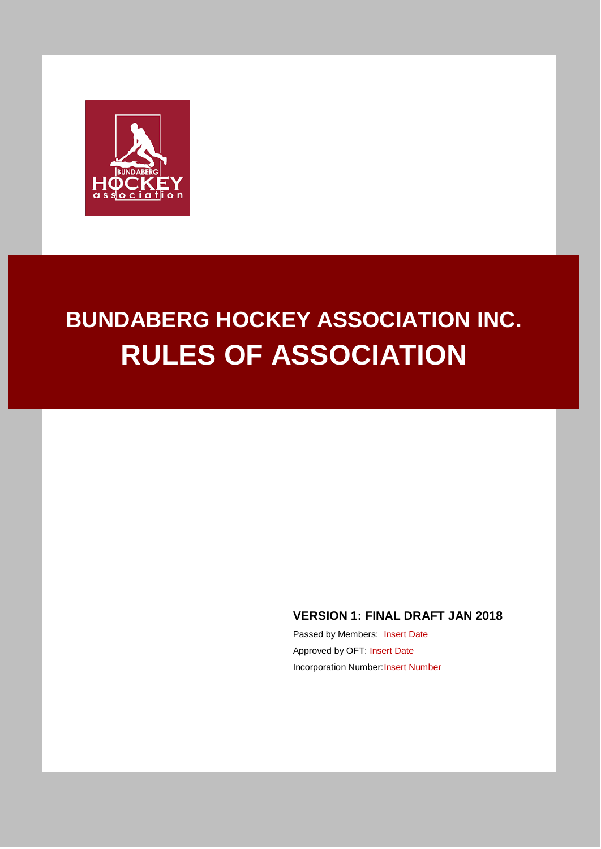

# **BUNDABERG HOCKEY ASSOCIATION INC. RULES OF ASSOCIATION**

# **VERSION 1: FINAL DRAFT JAN 2018**

Passed by Members: Insert Date Approved by OFT: Insert Date Incorporation Number: Insert Number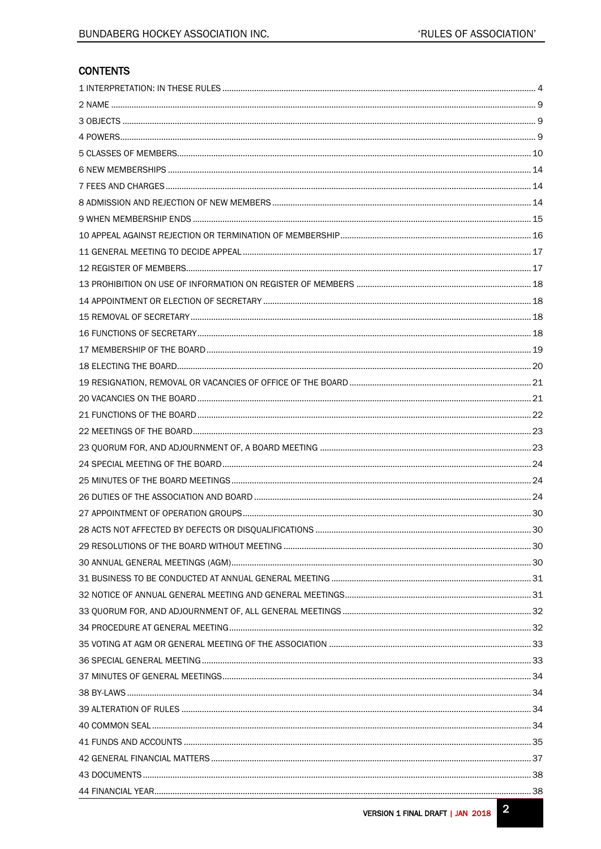# **CONTENTS**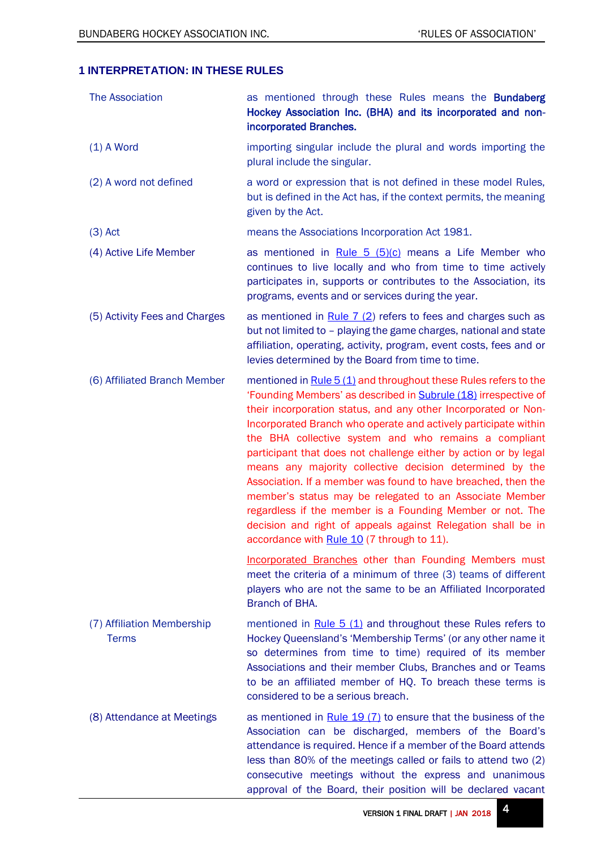# <span id="page-3-0"></span>**1 INTERPRETATION: IN THESE RULES**

<span id="page-3-4"></span><span id="page-3-3"></span><span id="page-3-2"></span><span id="page-3-1"></span>

| <b>The Association</b>                     | as mentioned through these Rules means the <b>Bundaberg</b><br>Hockey Association Inc. (BHA) and its incorporated and non-<br>incorporated Branches.                                                                                                                                                                                                                                                                                                                                                                                                                                                                                                                                                                                                                     |
|--------------------------------------------|--------------------------------------------------------------------------------------------------------------------------------------------------------------------------------------------------------------------------------------------------------------------------------------------------------------------------------------------------------------------------------------------------------------------------------------------------------------------------------------------------------------------------------------------------------------------------------------------------------------------------------------------------------------------------------------------------------------------------------------------------------------------------|
| $(1)$ A Word                               | importing singular include the plural and words importing the<br>plural include the singular.                                                                                                                                                                                                                                                                                                                                                                                                                                                                                                                                                                                                                                                                            |
| (2) A word not defined                     | a word or expression that is not defined in these model Rules,<br>but is defined in the Act has, if the context permits, the meaning<br>given by the Act.                                                                                                                                                                                                                                                                                                                                                                                                                                                                                                                                                                                                                |
| $(3)$ Act                                  | means the Associations Incorporation Act 1981.                                                                                                                                                                                                                                                                                                                                                                                                                                                                                                                                                                                                                                                                                                                           |
| (4) Active Life Member                     | as mentioned in Rule $5$ ( $5$ )( $c$ ) means a Life Member who<br>continues to live locally and who from time to time actively<br>participates in, supports or contributes to the Association, its<br>programs, events and or services during the year.                                                                                                                                                                                                                                                                                                                                                                                                                                                                                                                 |
| (5) Activity Fees and Charges              | as mentioned in $Rule 7 (2)$ refers to fees and charges such as<br>but not limited to - playing the game charges, national and state<br>affiliation, operating, activity, program, event costs, fees and or<br>levies determined by the Board from time to time.                                                                                                                                                                                                                                                                                                                                                                                                                                                                                                         |
| (6) Affiliated Branch Member               | mentioned in Rule 5 (1) and throughout these Rules refers to the<br>'Founding Members' as described in Subrule (18) irrespective of<br>their incorporation status, and any other Incorporated or Non-<br>Incorporated Branch who operate and actively participate within<br>the BHA collective system and who remains a compliant<br>participant that does not challenge either by action or by legal<br>means any majority collective decision determined by the<br>Association. If a member was found to have breached, then the<br>member's status may be relegated to an Associate Member<br>regardless if the member is a Founding Member or not. The<br>decision and right of appeals against Relegation shall be in<br>accordance with Rule 10 (7 through to 11). |
|                                            | <b>Incorporated Branches other than Founding Members must</b><br>meet the criteria of a minimum of three (3) teams of different<br>players who are not the same to be an Affiliated Incorporated<br>Branch of BHA.                                                                                                                                                                                                                                                                                                                                                                                                                                                                                                                                                       |
| (7) Affiliation Membership<br><b>Terms</b> | mentioned in Rule $5(1)$ and throughout these Rules refers to<br>Hockey Queensland's 'Membership Terms' (or any other name it<br>so determines from time to time) required of its member<br>Associations and their member Clubs, Branches and or Teams<br>to be an affiliated member of HQ. To breach these terms is<br>considered to be a serious breach.                                                                                                                                                                                                                                                                                                                                                                                                               |
| (8) Attendance at Meetings                 | as mentioned in $Rule 19 (7)$ to ensure that the business of the<br>Association can be discharged, members of the Board's<br>attendance is required. Hence if a member of the Board attends<br>less than 80% of the meetings called or fails to attend two (2)<br>consecutive meetings without the express and unanimous<br>approval of the Board, their position will be declared vacant                                                                                                                                                                                                                                                                                                                                                                                |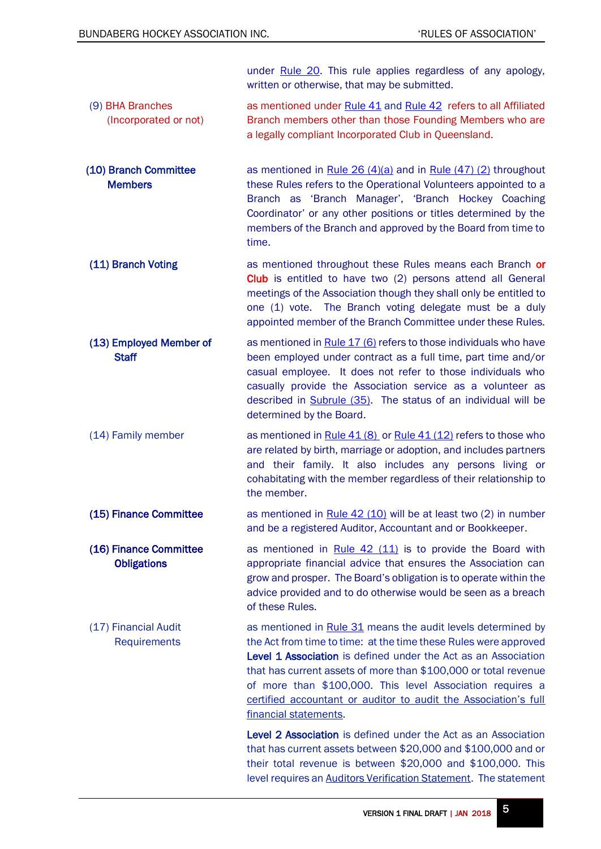<span id="page-4-3"></span><span id="page-4-2"></span><span id="page-4-1"></span><span id="page-4-0"></span>under [Rule 20.](#page-20-1) This rule applies regardless of any apology, written or otherwise, that may be submitted. (9) BHA Branches (Incorporated or not) as mentioned under [Rule 41](#page-34-0) and [Rule 42](#page-36-0) refers to all Affiliated Branch members other than those Founding Members who are a legally compliant Incorporated Club in Queensland. (10) Branch Committee **Members** as mentioned in Rule  $26 (4)(a)$  and in Rule  $(47) (2)$  throughout these Rules refers to the Operational Volunteers appointed to a Branch as 'Branch Manager', 'Branch Hockey Coaching Coordinator' or any other positions or titles determined by the members of the Branch and approved by the Board from time to time. (11) Branch Voting as mentioned throughout these Rules means each Branch or Club is entitled to have two (2) persons attend all General meetings of the Association though they shall only be entitled to one (1) vote. The Branch voting delegate must be a duly appointed member of the Branch Committee under these Rules. (13) Employed Member of **Staff** as mentioned i[n Rule 17 \(6\)](#page-18-1) refers to those individuals who have been employed under contract as a full time, part time and/or casual employee. It does not refer to those individuals who casually provide the Association service as a volunteer as described in [Subrule \(35\).](#page-6-0) The status of an individual will be determined by the Board. (14) Family member as mentioned in  $Rule 41 (8)$  or  $Rule 41 (12)$  refers to those who are related by birth, marriage or adoption, and includes partners and their family. It also includes any persons living or cohabitating with the member regardless of their relationship to the member. (15) Finance Committee as mentioned in Rule  $42$  (10) will be at least two (2) in number and be a registered Auditor, Accountant and or Bookkeeper. (16) Finance Committee **Obligations** as mentioned in [Rule 42 \(11\)](#page-36-2) is to provide the Board with appropriate financial advice that ensures the Association can grow and prosper. The Board's obligation is to operate within the advice provided and to do otherwise would be seen as a breach of these Rules. (17) Financial Audit **Requirements** as mentioned in [Rule 31](#page-29-4) means the audit levels determined by the Act from time to time: at the time these Rules were approved Level 1 Association is defined under the Act as an Association that has current assets of more than \$100,000 or total revenue of more than \$100,000. This level Association requires a certified accountant or auditor to audit the Association's full financial statements. Level 2 Association is defined under the Act as an Association that has current assets between \$20,000 and \$100,000 and or

<span id="page-4-5"></span><span id="page-4-4"></span>their total revenue is between \$20,000 and \$100,000. This level requires an Auditors Verification Statement. The statement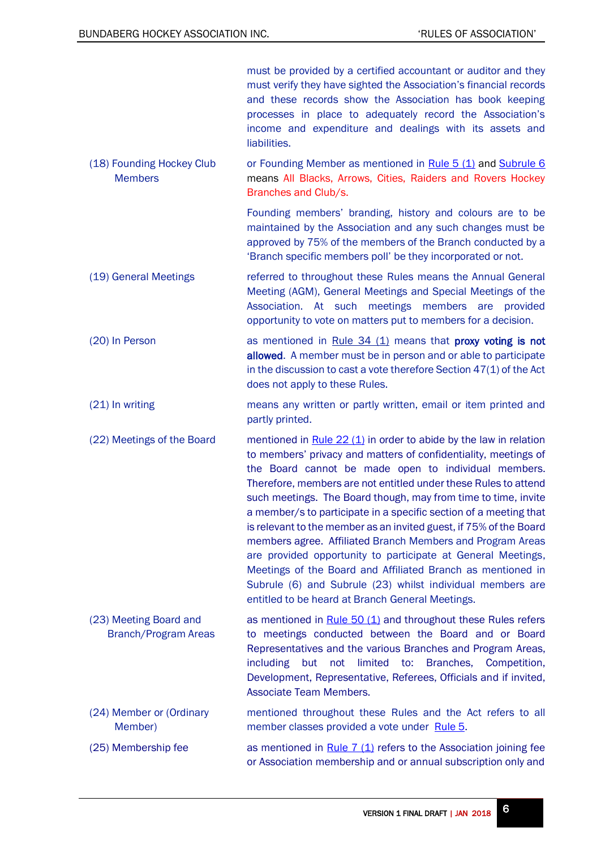<span id="page-5-5"></span><span id="page-5-4"></span><span id="page-5-3"></span><span id="page-5-2"></span><span id="page-5-1"></span><span id="page-5-0"></span>

|                                                | must be provided by a certified accountant or auditor and they<br>must verify they have sighted the Association's financial records<br>and these records show the Association has book keeping<br>processes in place to adequately record the Association's<br>income and expenditure and dealings with its assets and<br>liabilities.                                                                                                                                                                                                                                                                                                                                                                                                                                                        |
|------------------------------------------------|-----------------------------------------------------------------------------------------------------------------------------------------------------------------------------------------------------------------------------------------------------------------------------------------------------------------------------------------------------------------------------------------------------------------------------------------------------------------------------------------------------------------------------------------------------------------------------------------------------------------------------------------------------------------------------------------------------------------------------------------------------------------------------------------------|
| (18) Founding Hockey Club<br><b>Members</b>    | or Founding Member as mentioned in Rule 5 (1) and Subrule 6<br>means All Blacks, Arrows, Cities, Raiders and Rovers Hockey<br>Branches and Club/s.                                                                                                                                                                                                                                                                                                                                                                                                                                                                                                                                                                                                                                            |
|                                                | Founding members' branding, history and colours are to be<br>maintained by the Association and any such changes must be<br>approved by 75% of the members of the Branch conducted by a<br>'Branch specific members poll' be they incorporated or not.                                                                                                                                                                                                                                                                                                                                                                                                                                                                                                                                         |
| (19) General Meetings                          | referred to throughout these Rules means the Annual General<br>Meeting (AGM), General Meetings and Special Meetings of the<br>Association. At such meetings members are provided<br>opportunity to vote on matters put to members for a decision.                                                                                                                                                                                                                                                                                                                                                                                                                                                                                                                                             |
| (20) In Person                                 | as mentioned in Rule $34$ (1) means that proxy voting is not<br>allowed. A member must be in person and or able to participate<br>in the discussion to cast a vote therefore Section $47(1)$ of the Act<br>does not apply to these Rules.                                                                                                                                                                                                                                                                                                                                                                                                                                                                                                                                                     |
| (21) In writing                                | means any written or partly written, email or item printed and<br>partly printed.                                                                                                                                                                                                                                                                                                                                                                                                                                                                                                                                                                                                                                                                                                             |
| (22) Meetings of the Board                     | mentioned in $Rule 22 (1)$ in order to abide by the law in relation<br>to members' privacy and matters of confidentiality, meetings of<br>the Board cannot be made open to individual members.<br>Therefore, members are not entitled under these Rules to attend<br>such meetings. The Board though, may from time to time, invite<br>a member/s to participate in a specific section of a meeting that<br>is relevant to the member as an invited guest, if 75% of the Board<br>members agree. Affiliated Branch Members and Program Areas<br>are provided opportunity to participate at General Meetings,<br>Meetings of the Board and Affiliated Branch as mentioned in<br>Subrule (6) and Subrule (23) whilst individual members are<br>entitled to be heard at Branch General Meetings. |
| (23) Meeting Board and<br>Branch/Program Areas | as mentioned in $Rule 50 (1)$ and throughout these Rules refers<br>to meetings conducted between the Board and or Board<br>Representatives and the various Branches and Program Areas,<br><i>including</i><br>limited to: Branches,<br>Competition,<br>but<br>not<br>Development, Representative, Referees, Officials and if invited,<br><b>Associate Team Members.</b>                                                                                                                                                                                                                                                                                                                                                                                                                       |
| (24) Member or (Ordinary<br>Member)            | mentioned throughout these Rules and the Act refers to all<br>member classes provided a vote under Rule 5.                                                                                                                                                                                                                                                                                                                                                                                                                                                                                                                                                                                                                                                                                    |
| (25) Membership fee                            | as mentioned in $Rule 7 (1)$ refers to the Association joining fee<br>or Association membership and or annual subscription only and                                                                                                                                                                                                                                                                                                                                                                                                                                                                                                                                                                                                                                                           |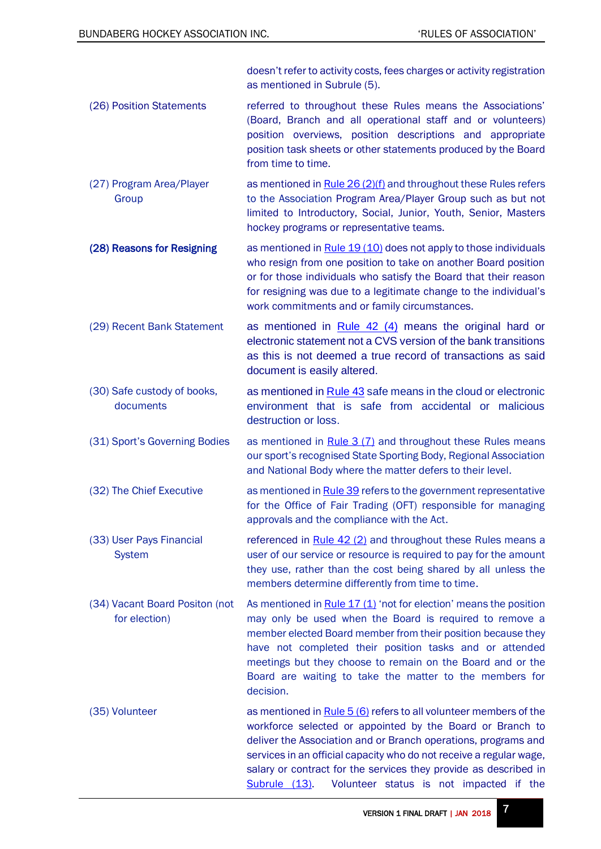<span id="page-6-8"></span><span id="page-6-7"></span><span id="page-6-6"></span><span id="page-6-5"></span><span id="page-6-4"></span><span id="page-6-3"></span><span id="page-6-2"></span><span id="page-6-1"></span><span id="page-6-0"></span>doesn't refer to activity costs, fees charges or activity registration as mentioned in Subrule (5). (26) Position Statements referred to throughout these Rules means the Associations' (Board, Branch and all operational staff and or volunteers) position overviews, position descriptions and appropriate position task sheets or other statements produced by the Board from time to time. (27) Program Area/Player Group as mentioned in [Rule 26 \(2\)\(f\)](#page-24-0) and throughout these Rules refers to the Association Program Area/Player Group such as but not limited to Introductory, Social, Junior, Youth, Senior, Masters hockey programs or representative teams. (28) Reasons for Resigning as mentioned in [Rule 19 \(10\)](#page-20-3) does not apply to those individuals who resign from one position to take on another Board position or for those individuals who satisfy the Board that their reason for resigning was due to a legitimate change to the individual's work commitments and or family circumstances. (29) Recent Bank Statement as mentioned in [Rule 42 \(4\)](#page-36-3) means the original hard or electronic statement not a CVS version of the bank transitions as this is not deemed a true record of transactions as said document is easily altered. (30) Safe custody of books, documents as mentioned in [Rule 43](#page-37-0) safe means in the cloud or electronic environment that is safe from accidental or malicious destruction or loss.  $(31)$  Sport's Governing Bodies as mentioned in [Rule 3 \(7\)](#page-8-4) and throughout these Rules means our sport's recognised State Sporting Body, Regional Association and National Body where the matter defers to their level. (32) The Chief Executive as mentioned i[n Rule 39](#page-33-2) refers to the government representative for the Office of Fair Trading (OFT) responsible for managing approvals and the compliance with the Act. (33) User Pays Financial System referenced in [Rule 42 \(2\)](#page-36-4) and throughout these Rules means a user of our service or resource is required to pay for the amount they use, rather than the cost being shared by all unless the members determine differently from time to time. (34) Vacant Board Positon (not for election) As mentioned in Rule  $17 (1)$  'not for election' means the position may only be used when the Board is required to remove a member elected Board member from their position because they have not completed their position tasks and or attended meetings but they choose to remain on the Board and or the Board are waiting to take the matter to the members for decision. (35) Volunteer as mentioned in [Rule 5 \(6\)](#page-12-0) refers to all volunteer members of the workforce selected or appointed by the Board or Branch to deliver the Association and or Branch operations, programs and services in an official capacity who do not receive a regular wage, salary or contract for the services they provide as described in [Subrule](#page-4-0) (13). Volunteer status is not impacted if the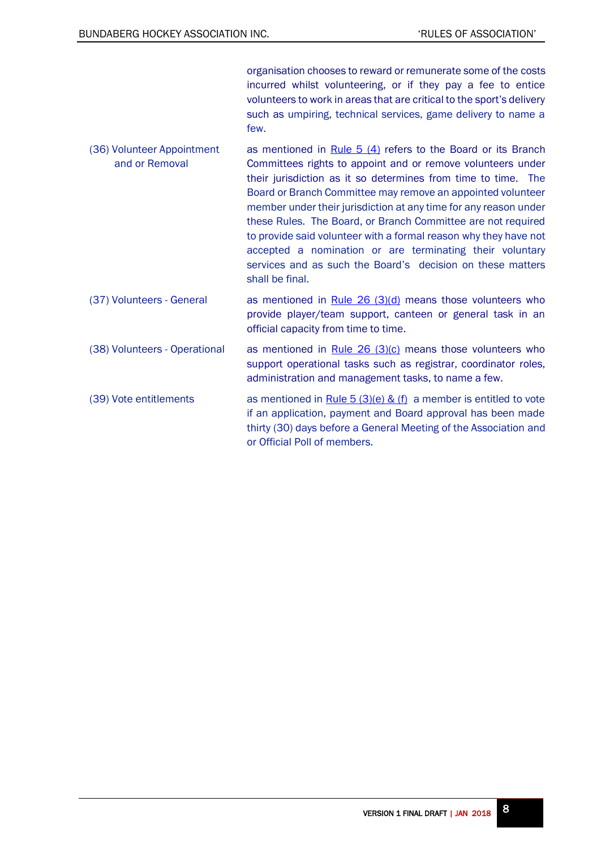organisation chooses to reward or remunerate some of the costs incurred whilst volunteering, or if they pay a fee to entice volunteers to work in areas that are critical to the sport's delivery such as umpiring, technical services, game delivery to name a few.

- <span id="page-7-1"></span>(36) Volunteer Appointment and or Removal as mentioned in Rule  $5(4)$  refers to the Board or its Branch Committees rights to appoint and or remove volunteers under their jurisdiction as it so determines from time to time. The Board or Branch Committee may remove an appointed volunteer member under their jurisdiction at any time for any reason under these Rules. The Board, or Branch Committee are not required to provide said volunteer with a formal reason why they have not accepted a nomination or are terminating their voluntary services and as such the Board's decision on these matters shall be final.
- <span id="page-7-3"></span>(37) Volunteers - General as mentioned in Rule  $26$  (3)(d) means those volunteers who provide player/team support, canteen or general task in an official capacity from time to time.
- <span id="page-7-2"></span>(38) Volunteers - Operational as mentioned in Rule  $26$  (3)(c) means those volunteers who support operational tasks such as registrar, coordinator roles, administration and management tasks, to name a few.
- <span id="page-7-0"></span>(39) Vote entitlements as mentioned in Rule  $5(3)(e)$  & (f) a member is entitled to vote if an application, payment and Board approval has been made thirty (30) days before a General Meeting of the Association and or Official Poll of members.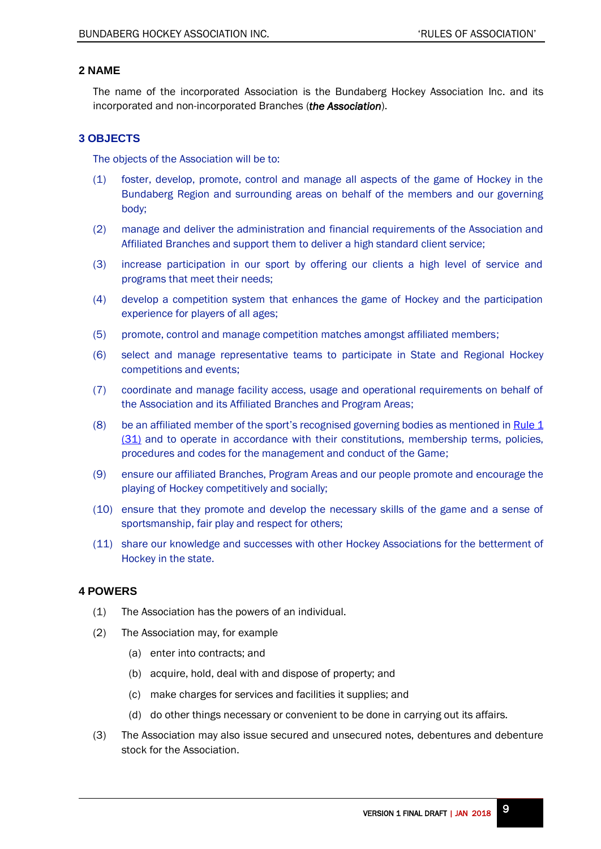# <span id="page-8-0"></span>**2 NAME**

The name of the incorporated Association is the Bundaberg Hockey Association Inc. and its incorporated and non-incorporated Branches (*the Association*).

# <span id="page-8-1"></span>**3 OBJECTS**

The objects of the Association will be to:

- (1) foster, develop, promote, control and manage all aspects of the game of Hockey in the Bundaberg Region and surrounding areas on behalf of the members and our governing body;
- (2) manage and deliver the administration and financial requirements of the Association and Affiliated Branches and support them to deliver a high standard client service;
- (3) increase participation in our sport by offering our clients a high level of service and programs that meet their needs;
- (4) develop a competition system that enhances the game of Hockey and the participation experience for players of all ages;
- (5) promote, control and manage competition matches amongst affiliated members;
- (6) select and manage representative teams to participate in State and Regional Hockey competitions and events;
- (7) coordinate and manage facility access, usage and operational requirements on behalf of the Association and its Affiliated Branches and Program Areas;
- <span id="page-8-4"></span>(8) be an affiliated member of the sport's recognised governing bodies as mentioned i[n Rule 1](#page-6-1) [\(31\)](#page-6-1) and to operate in accordance with their constitutions, membership terms, policies, procedures and codes for the management and conduct of the Game;
- (9) ensure our affiliated Branches, Program Areas and our people promote and encourage the playing of Hockey competitively and socially;
- (10) ensure that they promote and develop the necessary skills of the game and a sense of sportsmanship, fair play and respect for others;
- (11) share our knowledge and successes with other Hockey Associations for the betterment of Hockey in the state.

## <span id="page-8-2"></span>**4 POWERS**

- (1) The Association has the powers of an individual.
- (2) The Association may, for example
	- (a) enter into contracts; and
	- (b) acquire, hold, deal with and dispose of property; and
	- (c) make charges for services and facilities it supplies; and
	- (d) do other things necessary or convenient to be done in carrying out its affairs.
- <span id="page-8-3"></span>(3) The Association may also issue secured and unsecured notes, debentures and debenture stock for the Association.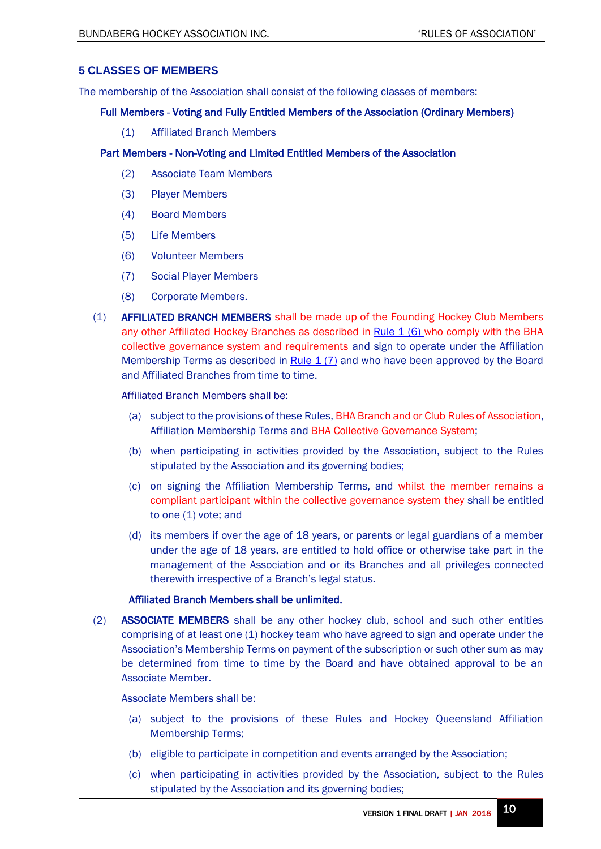# <span id="page-9-0"></span>**5 CLASSES OF MEMBERS**

The membership of the Association shall consist of the following classes of members:

## Full Members - Voting and Fully Entitled Members of the Association (Ordinary Members)

(1) Affiliated Branch Members

# Part Members - Non-Voting and Limited Entitled Members of the Association

- (2) Associate Team Members
- (3) Player Members
- (4) Board Members
- (5) Life Members
- (6) Volunteer Members
- (7) Social Player Members
- (8) Corporate Members.
- <span id="page-9-1"></span>(1) AFFILIATED BRANCH MEMBERS shall be made up of the Founding Hockey Club Members any other Affiliated Hockey Branches as described in Rule  $1$  (6) who comply with the BHA collective governance system and requirements and sign to operate under the Affiliation Membership Terms as described in Rule  $1(7)$  and who have been approved by the Board and Affiliated Branches from time to time.

Affiliated Branch Members shall be:

- (a) subject to the provisions of these Rules, BHA Branch and or Club Rules of Association, Affiliation Membership Terms and BHA Collective Governance System;
- (b) when participating in activities provided by the Association, subject to the Rules stipulated by the Association and its governing bodies;
- (c) on signing the Affiliation Membership Terms, and whilst the member remains a compliant participant within the collective governance system they shall be entitled to one (1) vote; and
- (d) its members if over the age of 18 years, or parents or legal guardians of a member under the age of 18 years, are entitled to hold office or otherwise take part in the management of the Association and or its Branches and all privileges connected therewith irrespective of a Branch's legal status.

## Affiliated Branch Members shall be unlimited.

(2) ASSOCIATE MEMBERS shall be any other hockey club, school and such other entities comprising of at least one (1) hockey team who have agreed to sign and operate under the Association's Membership Terms on payment of the subscription or such other sum as may be determined from time to time by the Board and have obtained approval to be an Associate Member.

Associate Members shall be:

- (a) subject to the provisions of these Rules and Hockey Queensland Affiliation Membership Terms;
- (b) eligible to participate in competition and events arranged by the Association;
- (c) when participating in activities provided by the Association, subject to the Rules stipulated by the Association and its governing bodies;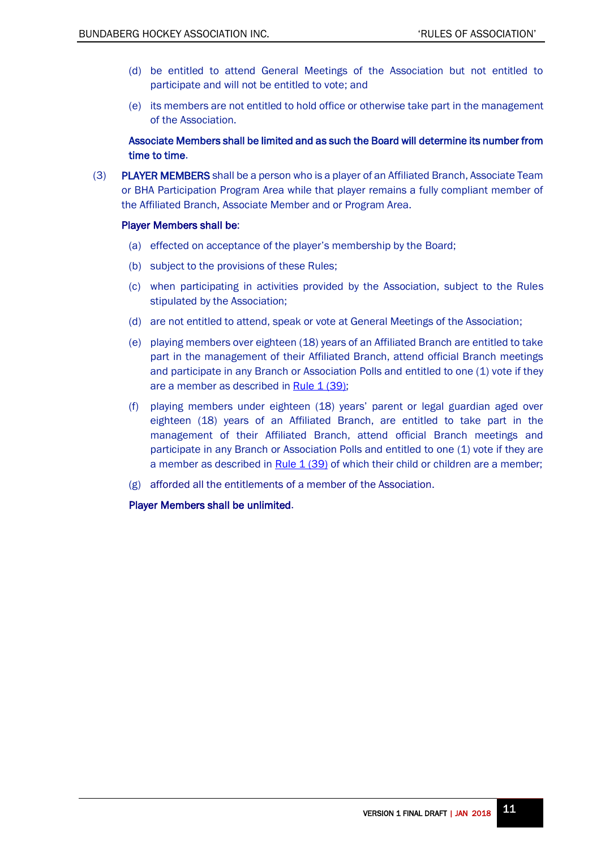- (d) be entitled to attend General Meetings of the Association but not entitled to participate and will not be entitled to vote; and
- (e) its members are not entitled to hold office or otherwise take part in the management of the Association.

Associate Members shall be limited and as such the Board will determine its number from time to time.

(3) PLAYER MEMBERS shall be a person who is a player of an Affiliated Branch, Associate Team or BHA Participation Program Area while that player remains a fully compliant member of the Affiliated Branch, Associate Member and or Program Area.

#### Player Members shall be:

- (a) effected on acceptance of the player's membership by the Board;
- (b) subject to the provisions of these Rules;
- (c) when participating in activities provided by the Association, subject to the Rules stipulated by the Association;
- (d) are not entitled to attend, speak or vote at General Meetings of the Association;
- <span id="page-10-0"></span>(e) playing members over eighteen (18) years of an Affiliated Branch are entitled to take part in the management of their Affiliated Branch, attend official Branch meetings and participate in any Branch or Association Polls and entitled to one (1) vote if they are a member as described in Rule  $1(39)$ ;
- (f) playing members under eighteen (18) years' parent or legal guardian aged over eighteen (18) years of an Affiliated Branch, are entitled to take part in the management of their Affiliated Branch, attend official Branch meetings and participate in any Branch or Association Polls and entitled to one (1) vote if they are a member as described in [Rule 1 \(39\)](#page-7-0) of which their child or children are a member;
- (g) afforded all the entitlements of a member of the Association.

Player Members shall be unlimited.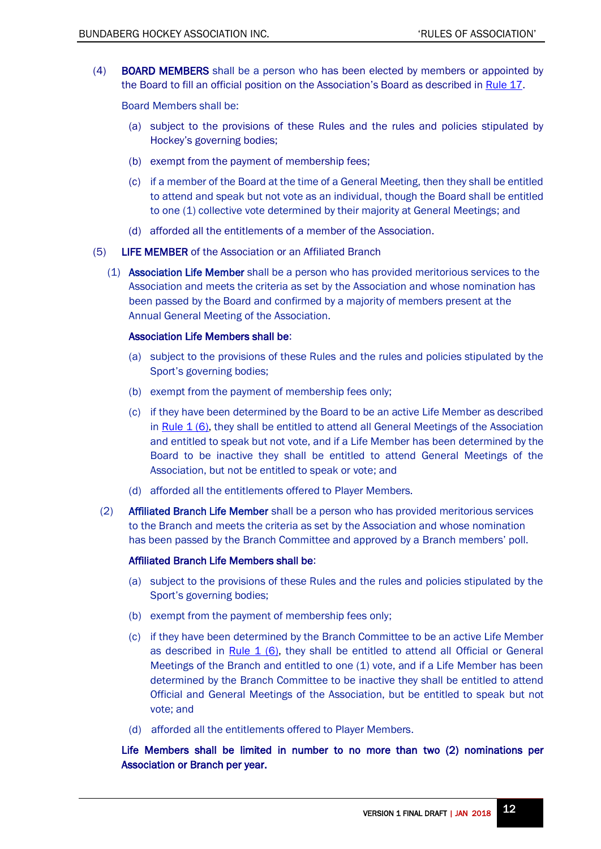(4) BOARD MEMBERS shall be a person who has been elected by members or appointed by the Board to fill an official position on the Association's Board as described in [Rule 17.](#page-18-0)

Board Members shall be:

- (a) subject to the provisions of these Rules and the rules and policies stipulated by Hockey's governing bodies;
- (b) exempt from the payment of membership fees;
- (c) if a member of the Board at the time of a General Meeting, then they shall be entitled to attend and speak but not vote as an individual, though the Board shall be entitled to one (1) collective vote determined by their majority at General Meetings; and
- (d) afforded all the entitlements of a member of the Association.
- (5) LIFE MEMBER of the Association or an Affiliated Branch
	- (1) Association Life Member shall be a person who has provided meritorious services to the Association and meets the criteria as set by the Association and whose nomination has been passed by the Board and confirmed by a majority of members present at the Annual General Meeting of the Association.

#### Association Life Members shall be:

- (a) subject to the provisions of these Rules and the rules and policies stipulated by the Sport's governing bodies;
- (b) exempt from the payment of membership fees only;
- <span id="page-11-0"></span>(c) if they have been determined by the Board to be an active Life Member as described in [Rule 1 \(6\),](#page-3-3) they shall be entitled to attend all General Meetings of the Association and entitled to speak but not vote, and if a Life Member has been determined by the Board to be inactive they shall be entitled to attend General Meetings of the Association, but not be entitled to speak or vote; and
- (d) afforded all the entitlements offered to Player Members.
- (2) Affiliated Branch Life Member shall be a person who has provided meritorious services to the Branch and meets the criteria as set by the Association and whose nomination has been passed by the Branch Committee and approved by a Branch members' poll.

#### Affiliated Branch Life Members shall be:

- (a) subject to the provisions of these Rules and the rules and policies stipulated by the Sport's governing bodies;
- (b) exempt from the payment of membership fees only;
- (c) if they have been determined by the Branch Committee to be an active Life Member as described in [Rule 1 \(6\),](#page-3-3) they shall be entitled to attend all Official or General Meetings of the Branch and entitled to one (1) vote, and if a Life Member has been determined by the Branch Committee to be inactive they shall be entitled to attend Official and General Meetings of the Association, but be entitled to speak but not vote; and
- (d) afforded all the entitlements offered to Player Members.

Life Members shall be limited in number to no more than two (2) nominations per Association or Branch per year.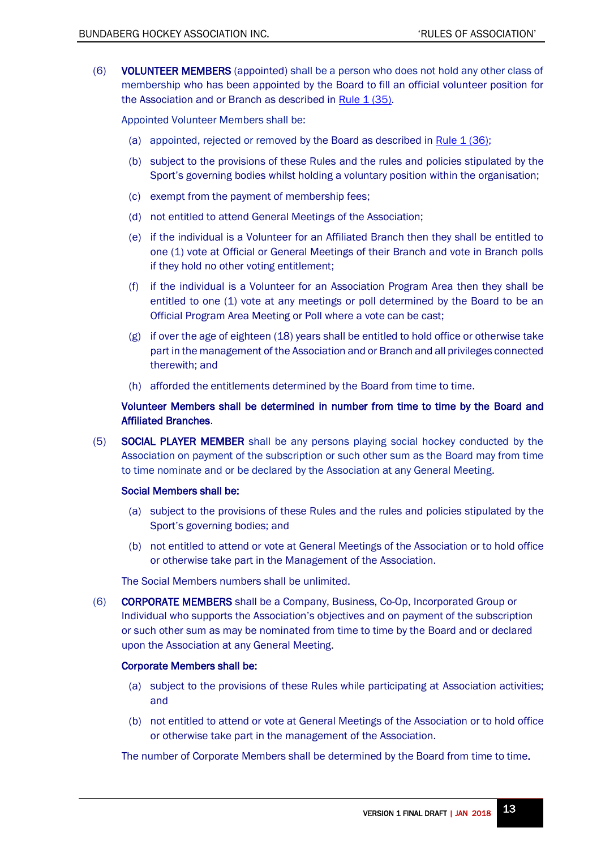<span id="page-12-0"></span>(6) VOLUNTEER MEMBERS (appointed) shall be a person who does not hold any other class of membership who has been appointed by the Board to fill an official volunteer position for the Association and or Branch as described in [Rule 1 \(35\).](#page-6-0)

<span id="page-12-1"></span>Appointed Volunteer Members shall be:

- (a) appointed, rejected or removed by the Board as described in Rule 1 (36):
- (b) subject to the provisions of these Rules and the rules and policies stipulated by the Sport's governing bodies whilst holding a voluntary position within the organisation;
- (c) exempt from the payment of membership fees;
- (d) not entitled to attend General Meetings of the Association;
- (e) if the individual is a Volunteer for an Affiliated Branch then they shall be entitled to one (1) vote at Official or General Meetings of their Branch and vote in Branch polls if they hold no other voting entitlement;
- (f) if the individual is a Volunteer for an Association Program Area then they shall be entitled to one (1) vote at any meetings or poll determined by the Board to be an Official Program Area Meeting or Poll where a vote can be cast;
- (g) if over the age of eighteen (18) years shall be entitled to hold office or otherwise take part in the management of the Association and or Branch and all privileges connected therewith; and
- (h) afforded the entitlements determined by the Board from time to time.

# Volunteer Members shall be determined in number from time to time by the Board and Affiliated Branches.

(5) SOCIAL PLAYER MEMBER shall be any persons playing social hockey conducted by the Association on payment of the subscription or such other sum as the Board may from time to time nominate and or be declared by the Association at any General Meeting.

## Social Members shall be:

- (a) subject to the provisions of these Rules and the rules and policies stipulated by the Sport's governing bodies; and
- (b) not entitled to attend or vote at General Meetings of the Association or to hold office or otherwise take part in the Management of the Association.

The Social Members numbers shall be unlimited.

(6) CORPORATE MEMBERS shall be a Company, Business, Co-Op, Incorporated Group or Individual who supports the Association's objectives and on payment of the subscription or such other sum as may be nominated from time to time by the Board and or declared upon the Association at any General Meeting.

#### Corporate Members shall be:

- (a) subject to the provisions of these Rules while participating at Association activities; and
- (b) not entitled to attend or vote at General Meetings of the Association or to hold office or otherwise take part in the management of the Association.

The number of Corporate Members shall be determined by the Board from time to time.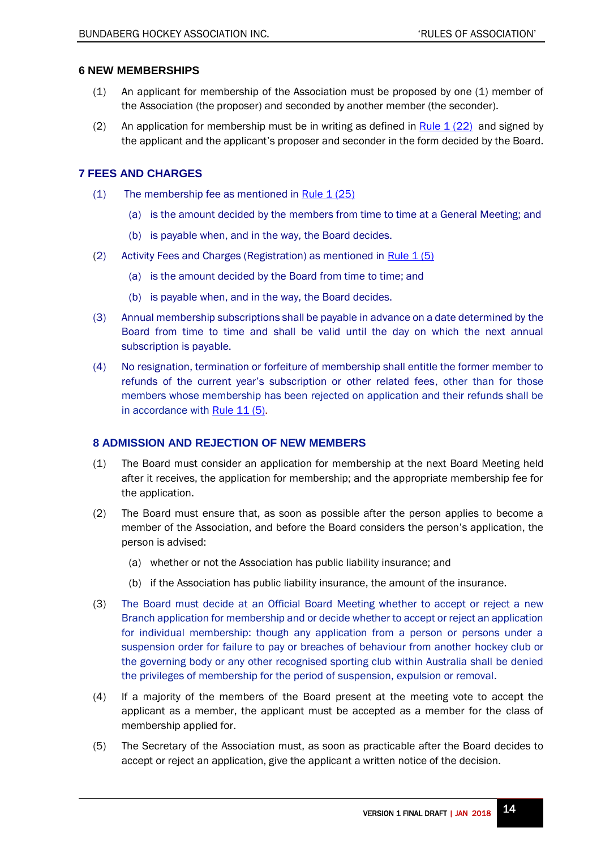# <span id="page-13-0"></span>**6 NEW MEMBERSHIPS**

- (1) An applicant for membership of the Association must be proposed by one (1) member of the Association (the proposer) and seconded by another member (the seconder).
- (2) An application for membership must be in writing as defined in [Rule](#page-5-1)  $1(22)$  and signed by the applicant and the applicant's proposer and seconder in the form decided by the Board.

# <span id="page-13-1"></span>**7 FEES AND CHARGES**

- <span id="page-13-4"></span> $(1)$  The membership fee as mentioned in Rule [1 \(25\)](#page-5-2)
	- (a) is the amount decided by the members from time to time at a General Meeting; and
	- (b) is payable when, and in the way, the Board decides.
- <span id="page-13-3"></span>(2) Activity Fees and Charges (Registration) as mentioned in Rule  $1(5)$ 
	- (a) is the amount decided by the Board from time to time; and
	- (b) is payable when, and in the way, the Board decides.
- (3) Annual membership subscriptions shall be payable in advance on a date determined by the Board from time to time and shall be valid until the day on which the next annual subscription is payable.
- (4) No resignation, termination or forfeiture of membership shall entitle the former member to refunds of the current year's subscription or other related fees, other than for those members whose membership has been rejected on application and their refunds shall be in accordance with [Rule 11 \(5\).](#page-16-2)

# <span id="page-13-2"></span>**8 ADMISSION AND REJECTION OF NEW MEMBERS**

- (1) The Board must consider an application for membership at the next Board Meeting held after it receives, the application for membership; and the appropriate membership fee for the application.
- (2) The Board must ensure that, as soon as possible after the person applies to become a member of the Association, and before the Board considers the person's application, the person is advised:
	- (a) whether or not the Association has public liability insurance; and
	- (b) if the Association has public liability insurance, the amount of the insurance.
- (3) The Board must decide at an Official Board Meeting whether to accept or reject a new Branch application for membership and or decide whether to accept or reject an application for individual membership: though any application from a person or persons under a suspension order for failure to pay or breaches of behaviour from another hockey club or the governing body or any other recognised sporting club within Australia shall be denied the privileges of membership for the period of suspension, expulsion or removal.
- (4) If a majority of the members of the Board present at the meeting vote to accept the applicant as a member, the applicant must be accepted as a member for the class of membership applied for.
- <span id="page-13-5"></span>(5) The Secretary of the Association must, as soon as practicable after the Board decides to accept or reject an application, give the applicant a written notice of the decision.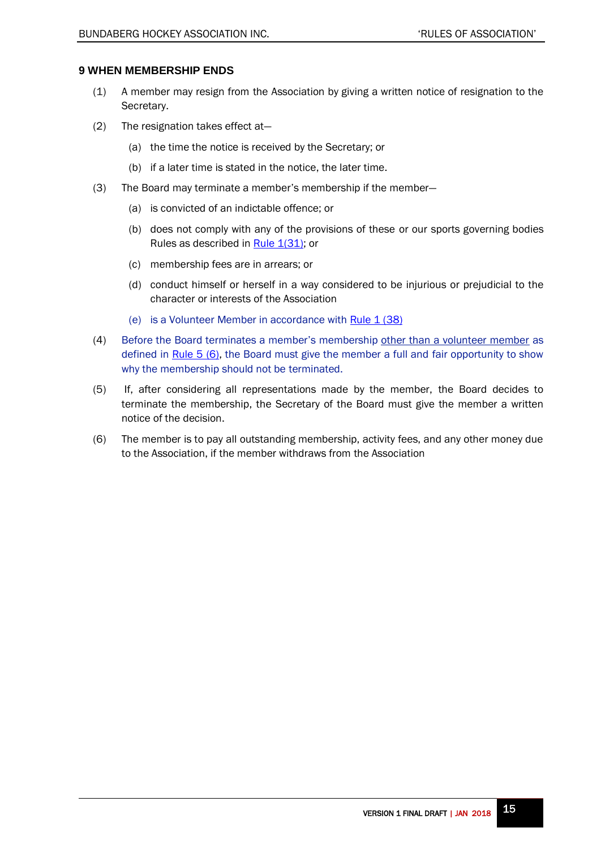# <span id="page-14-0"></span>**9 WHEN MEMBERSHIP ENDS**

- (1) A member may resign from the Association by giving a written notice of resignation to the Secretary.
- (2) The resignation takes effect at—
	- (a) the time the notice is received by the Secretary; or
	- (b) if a later time is stated in the notice, the later time.
- (3) The Board may terminate a member's membership if the member—
	- (a) is convicted of an indictable offence; or
	- (b) does not comply with any of the provisions of these or our sports governing bodies Rules as described in [Rule 1\(31\);](#page-6-1) or
	- (c) membership fees are in arrears; or
	- (d) conduct himself or herself in a way considered to be injurious or prejudicial to the character or interests of the Association
	- (e) is a Volunteer Member in accordance with Rule  $1(38)$
- (4) Before the Board terminates a member's membership other than a volunteer member as defined in [Rule 5](#page-12-0) (6), the Board must give the member a full and fair opportunity to show why the membership should not be terminated.
- (5) If, after considering all representations made by the member, the Board decides to terminate the membership, the Secretary of the Board must give the member a written notice of the decision.
- <span id="page-14-1"></span>(6) The member is to pay all outstanding membership, activity fees, and any other money due to the Association, if the member withdraws from the Association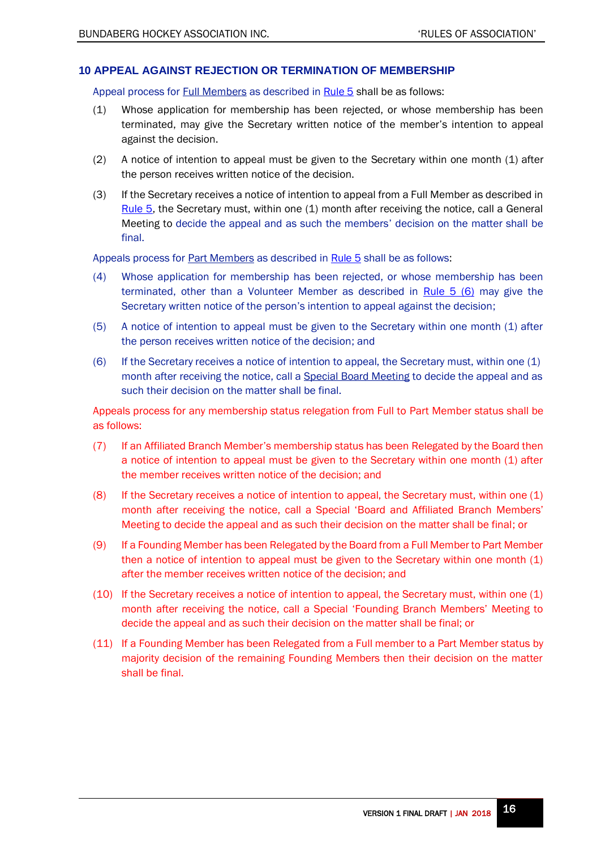## <span id="page-15-0"></span>**10 APPEAL AGAINST REJECTION OR TERMINATION OF MEMBERSHIP**

Appeal process for **Full Members** as described in **[Rule 5](#page-9-1)** shall be as follows:

- (1) Whose application for membership has been rejected, or whose membership has been terminated, may give the Secretary written notice of the member's intention to appeal against the decision.
- (2) A notice of intention to appeal must be given to the Secretary within one month (1) after the person receives written notice of the decision.
- (3) If the Secretary receives a notice of intention to appeal from a Full Member as described in [Rule 5,](#page-9-1) the Secretary must, within one (1) month after receiving the notice, call a General Meeting to decide the appeal and as such the members' decision on the matter shall be final.

Appeals process for **Part Members** as described in **[Rule 5](#page-9-1)** shall be as follows:

- (4) Whose application for membership has been rejected, or whose membership has been terminated, other than a Volunteer Member as described in [Rule 5 \(6\)](#page-12-0) may give the Secretary written notice of the person's intention to appeal against the decision;
- (5) A notice of intention to appeal must be given to the Secretary within one month (1) after the person receives written notice of the decision; and
- (6) If the Secretary receives a notice of intention to appeal, the Secretary must, within one  $(1)$ month after receiving the notice, call a Special Board Meeting to decide the appeal and as such their decision on the matter shall be final.

<span id="page-15-1"></span>Appeals process for any membership status relegation from Full to Part Member status shall be as follows:

- (7) If an Affiliated Branch Member's membership status has been Relegated by the Board then a notice of intention to appeal must be given to the Secretary within one month (1) after the member receives written notice of the decision; and
- (8) If the Secretary receives a notice of intention to appeal, the Secretary must, within one (1) month after receiving the notice, call a Special 'Board and Affiliated Branch Members' Meeting to decide the appeal and as such their decision on the matter shall be final; or
- (9) If a Founding Member has been Relegated by the Board from a Full Member to Part Member then a notice of intention to appeal must be given to the Secretary within one month (1) after the member receives written notice of the decision; and
- (10) If the Secretary receives a notice of intention to appeal, the Secretary must, within one (1) month after receiving the notice, call a Special 'Founding Branch Members' Meeting to decide the appeal and as such their decision on the matter shall be final; or
- (11) If a Founding Member has been Relegated from a Full member to a Part Member status by majority decision of the remaining Founding Members then their decision on the matter shall be final.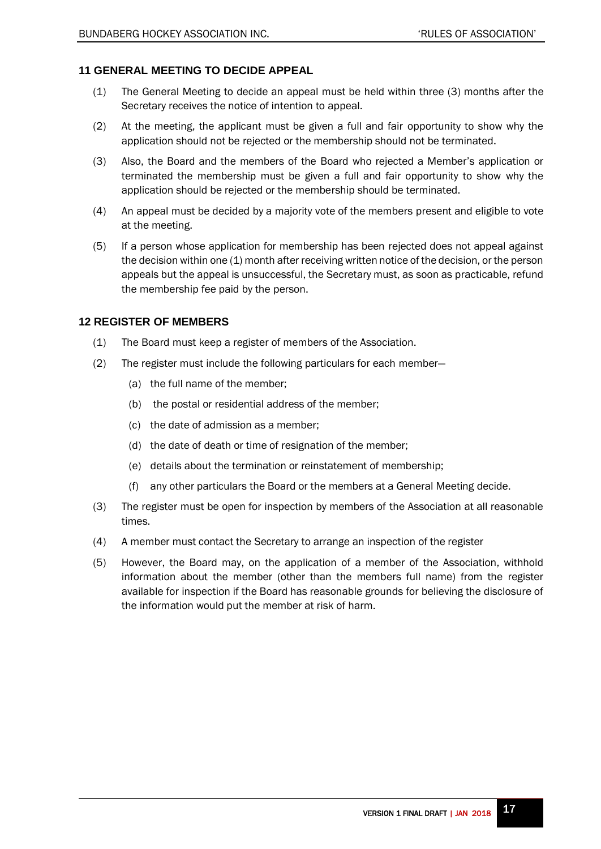# <span id="page-16-0"></span>**11 GENERAL MEETING TO DECIDE APPEAL**

- (1) The General Meeting to decide an appeal must be held within three (3) months after the Secretary receives the notice of intention to appeal.
- (2) At the meeting, the applicant must be given a full and fair opportunity to show why the application should not be rejected or the membership should not be terminated.
- (3) Also, the Board and the members of the Board who rejected a Member's application or terminated the membership must be given a full and fair opportunity to show why the application should be rejected or the membership should be terminated.
- (4) An appeal must be decided by a majority vote of the members present and eligible to vote at the meeting.
- <span id="page-16-2"></span>(5) If a person whose application for membership has been rejected does not appeal against the decision within one (1) month after receiving written notice of the decision, or the person appeals but the appeal is unsuccessful, the Secretary must, as soon as practicable, refund the membership fee paid by the person.

# <span id="page-16-1"></span>**12 REGISTER OF MEMBERS**

- (1) The Board must keep a register of members of the Association.
- (2) The register must include the following particulars for each member—
	- (a) the full name of the member;
	- (b) the postal or residential address of the member;
	- (c) the date of admission as a member;
	- (d) the date of death or time of resignation of the member;
	- (e) details about the termination or reinstatement of membership;
	- (f) any other particulars the Board or the members at a General Meeting decide.
- (3) The register must be open for inspection by members of the Association at all reasonable times.
- (4) A member must contact the Secretary to arrange an inspection of the register
- (5) However, the Board may, on the application of a member of the Association, withhold information about the member (other than the members full name) from the register available for inspection if the Board has reasonable grounds for believing the disclosure of the information would put the member at risk of harm.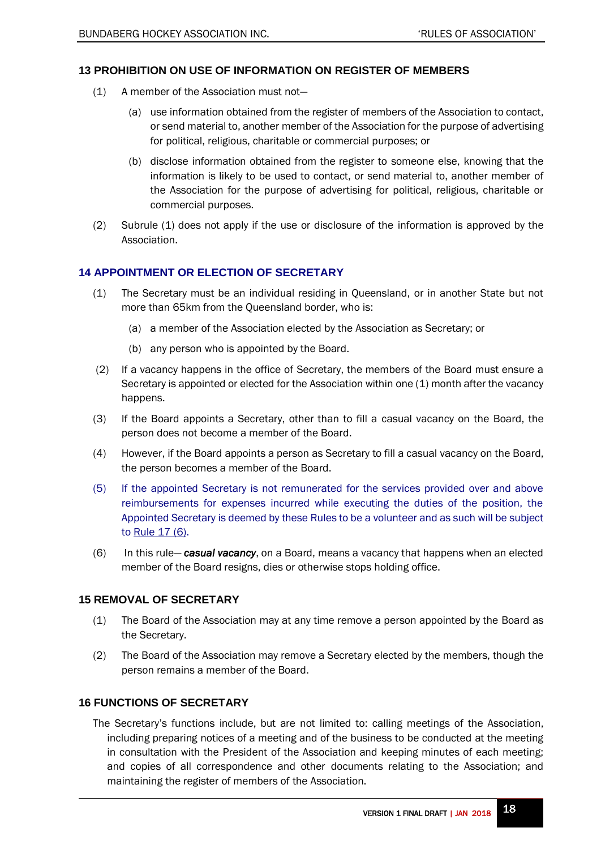# <span id="page-17-0"></span>**13 PROHIBITION ON USE OF INFORMATION ON REGISTER OF MEMBERS**

- (1) A member of the Association must not—
	- (a) use information obtained from the register of members of the Association to contact, or send material to, another member of the Association for the purpose of advertising for political, religious, charitable or commercial purposes; or
	- (b) disclose information obtained from the register to someone else, knowing that the information is likely to be used to contact, or send material to, another member of the Association for the purpose of advertising for political, religious, charitable or commercial purposes.
- (2) Subrule (1) does not apply if the use or disclosure of the information is approved by the Association.

# <span id="page-17-1"></span>**14 APPOINTMENT OR ELECTION OF SECRETARY**

- (1) The Secretary must be an individual residing in Queensland, or in another State but not more than 65km from the Queensland border, who is:
	- (a) a member of the Association elected by the Association as Secretary; or
	- (b) any person who is appointed by the Board.
- (2) If a vacancy happens in the office of Secretary, the members of the Board must ensure a Secretary is appointed or elected for the Association within one (1) month after the vacancy happens.
- (3) If the Board appoints a Secretary, other than to fill a casual vacancy on the Board, the person does not become a member of the Board.
- (4) However, if the Board appoints a person as Secretary to fill a casual vacancy on the Board, the person becomes a member of the Board.
- <span id="page-17-4"></span>(5) If the appointed Secretary is not remunerated for the services provided over and above reimbursements for expenses incurred while executing the duties of the position, the Appointed Secretary is deemed by these Rules to be a volunteer and as such will be subject to [Rule 17 \(6\).](#page-18-3)
- (6) In this rule— *casual vacancy*, on a Board, means a vacancy that happens when an elected member of the Board resigns, dies or otherwise stops holding office.

# <span id="page-17-2"></span>**15 REMOVAL OF SECRETARY**

- (1) The Board of the Association may at any time remove a person appointed by the Board as the Secretary.
- (2) The Board of the Association may remove a Secretary elected by the members, though the person remains a member of the Board.

# <span id="page-17-3"></span>**16 FUNCTIONS OF SECRETARY**

The Secretary's functions include, but are not limited to: calling meetings of the Association, including preparing notices of a meeting and of the business to be conducted at the meeting in consultation with the President of the Association and keeping minutes of each meeting; and copies of all correspondence and other documents relating to the Association; and maintaining the register of members of the Association.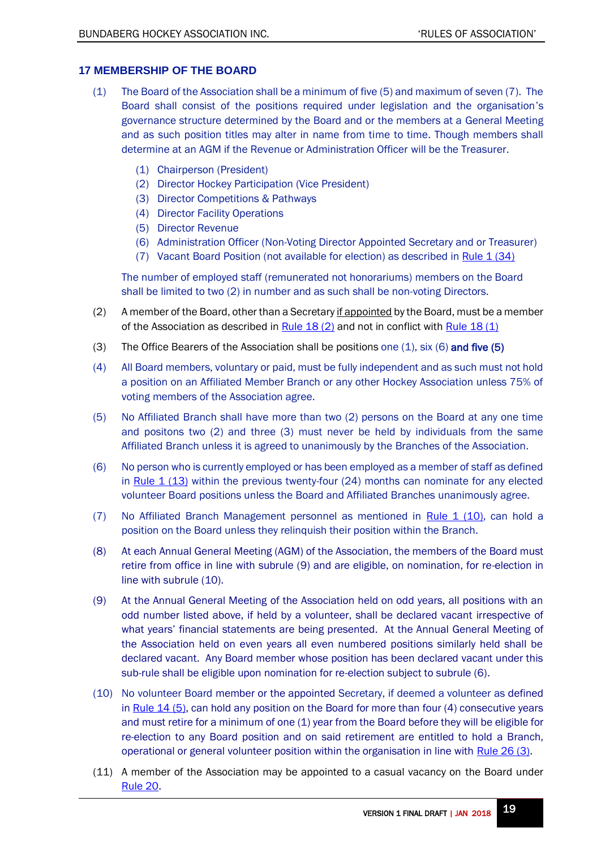# <span id="page-18-0"></span>**17 MEMBERSHIP OF THE BOARD**

- <span id="page-18-2"></span>(1) The Board of the Association shall be a minimum of five (5) and maximum of seven (7). The Board shall consist of the positions required under legislation and the organisation's governance structure determined by the Board and or the members at a General Meeting and as such position titles may alter in name from time to time. Though members shall determine at an AGM if the Revenue or Administration Officer will be the Treasurer.
	- (1) Chairperson (President)
	- (2) Director Hockey Participation (Vice President)
	- (3) Director Competitions & Pathways
	- (4) Director Facility Operations
	- (5) Director Revenue
	- (6) Administration Officer (Non-Voting Director Appointed Secretary and or Treasurer)
	- (7) Vacant Board Position (not available for election) as described in Rule  $1(34)$

The number of employed staff (remunerated not honorariums) members on the Board shall be limited to two (2) in number and as such shall be non-voting Directors.

- $(2)$  A member of the Board, other than a Secretary if appointed by the Board, must be a member of the Association as described in Rule  $18$  (2) and not in conflict with Rule  $18$  (1)
- (3) The Office Bearers of the Association shall be positions one  $(1)$ , six  $(6)$  and five  $(5)$
- <span id="page-18-4"></span>(4) All Board members, voluntary or paid, must be fully independent and as such must not hold a position on an Affiliated Member Branch or any other Hockey Association unless 75% of voting members of the Association agree.
- (5) No Affiliated Branch shall have more than two (2) persons on the Board at any one time and positons two (2) and three (3) must never be held by individuals from the same Affiliated Branch unless it is agreed to unanimously by the Branches of the Association.
- <span id="page-18-1"></span>(6) No person who is currently employed or has been employed as a member of staff as defined in [Rule 1 \(13\)](#page-4-0) within the previous twenty-four (24) months can nominate for any elected volunteer Board positions unless the Board and Affiliated Branches unanimously agree.
- (7) No Affiliated Branch Management personnel as mentioned in Rule  $1$  (10), can hold a position on the Board unless they relinquish their position within the Branch.
- (8) At each Annual General Meeting (AGM) of the Association, the members of the Board must retire from office in line with subrule (9) and are eligible, on nomination, for re-election in line with subrule (10).
- (9) At the Annual General Meeting of the Association held on odd years, all positions with an odd number listed above, if held by a volunteer, shall be declared vacant irrespective of what years' financial statements are being presented. At the Annual General Meeting of the Association held on even years all even numbered positions similarly held shall be declared vacant. Any Board member whose position has been declared vacant under this sub-rule shall be eligible upon nomination for re-election subject to subrule (6).
- <span id="page-18-3"></span>(10) No volunteer Board member or the appointed Secretary, if deemed a volunteer as defined in Rule  $14$  (5), can hold any position on the Board for more than four (4) consecutive years and must retire for a minimum of one (1) year from the Board before they will be eligible for re-election to any Board position and on said retirement are entitled to hold a Branch, operational or general volunteer position within the organisation in line with [Rule 26 \(3\).](#page-24-1)
- (11) A member of the Association may be appointed to a casual vacancy on the Board under [Rule 20.](#page-20-1)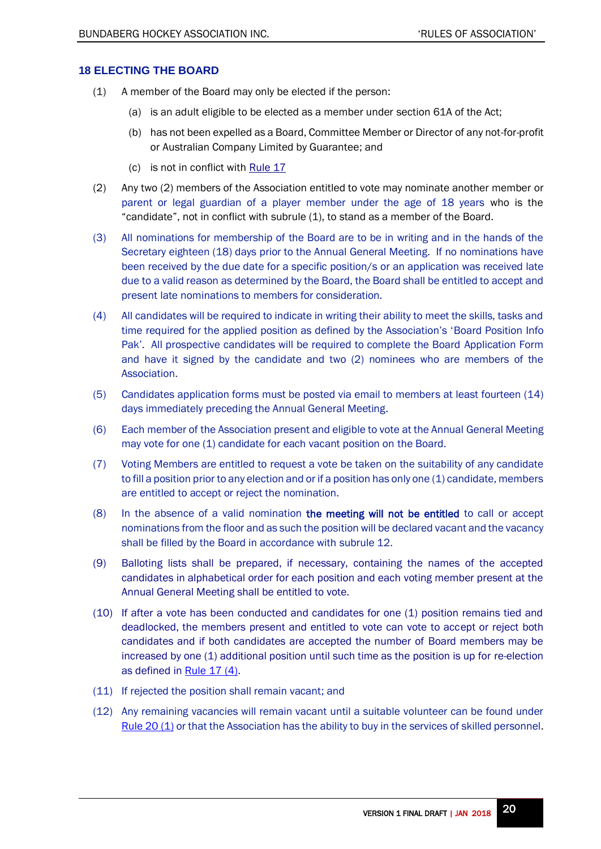## <span id="page-19-0"></span>**18 ELECTING THE BOARD**

- <span id="page-19-1"></span>(1) A member of the Board may only be elected if the person:
	- (a) is an adult eligible to be elected as a member under section 61A of the Act;
	- (b) has not been expelled as a Board, Committee Member or Director of any not-for-profit or Australian Company Limited by Guarantee; and
	- (c) is not in conflict wit[h Rule](#page-18-4) 17
- (2) Any two (2) members of the Association entitled to vote may nominate another member or parent or legal guardian of a player member under the age of 18 years who is the "candidate", not in conflict with [subrule \(1\),](#page-19-1) to stand as a member of the Board.
- (3) All nominations for membership of the Board are to be in writing and in the hands of the Secretary eighteen (18) days prior to the Annual General Meeting. If no nominations have been received by the due date for a specific position/s or an application was received late due to a valid reason as determined by the Board, the Board shall be entitled to accept and present late nominations to members for consideration.
- (4) All candidates will be required to indicate in writing their ability to meet the skills, tasks and time required for the applied position as defined by the Association's 'Board Position Info Pak'. All prospective candidates will be required to complete the Board Application Form and have it signed by the candidate and two (2) nominees who are members of the Association.
- (5) Candidates application forms must be posted via email to members at least fourteen (14) days immediately preceding the Annual General Meeting.
- (6) Each member of the Association present and eligible to vote at the Annual General Meeting may vote for one (1) candidate for each vacant position on the Board.
- (7) Voting Members are entitled to request a vote be taken on the suitability of any candidate to fill a position prior to any election and or if a position has only one (1) candidate, members are entitled to accept or reject the nomination.
- (8) In the absence of a valid nomination the meeting will not be entitled to call or accept nominations from the floor and as such the position will be declared vacant and the vacancy shall be filled by the Board in accordance with subrule 12.
- (9) Balloting lists shall be prepared, if necessary, containing the names of the accepted candidates in alphabetical order for each position and each voting member present at the Annual General Meeting shall be entitled to vote.
- (10) If after a vote has been conducted and candidates for one (1) position remains tied and deadlocked, the members present and entitled to vote can vote to accept or reject both candidates and if both candidates are accepted the number of Board members may be increased by one (1) additional position until such time as the position is up for re-election as defined in Rule  $17(4)$ .
- (11) If rejected the position shall remain vacant; and
- (12) Any remaining vacancies will remain vacant until a suitable volunteer can be found under Rule 20  $(1)$  or that the Association has the ability to buy in the services of skilled personnel.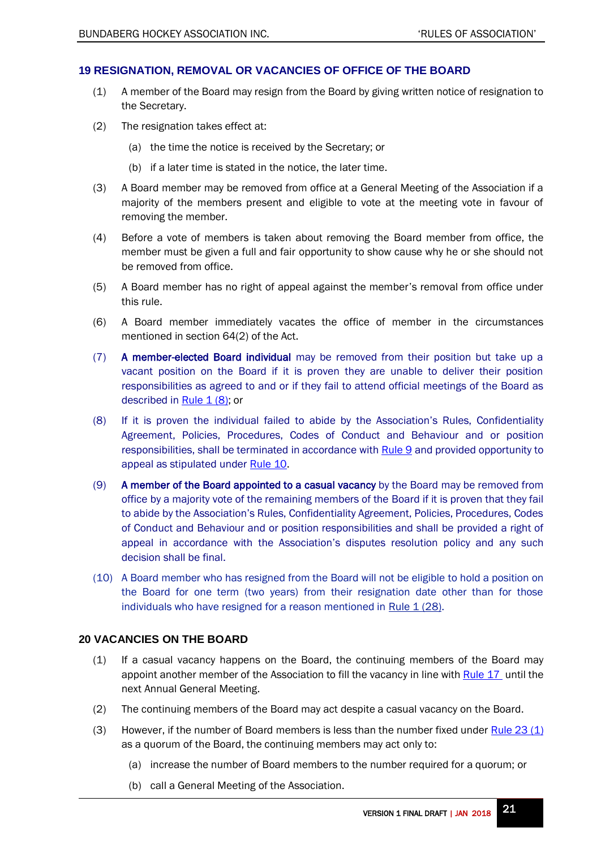# <span id="page-20-0"></span>**19 RESIGNATION, REMOVAL OR VACANCIES OF OFFICE OF THE BOARD**

- (1) A member of the Board may resign from the Board by giving written notice of resignation to the Secretary.
- (2) The resignation takes effect at:
	- (a) the time the notice is received by the Secretary; or
	- (b) if a later time is stated in the notice, the later time.
- (3) A Board member may be removed from office at a General Meeting of the Association if a majority of the members present and eligible to vote at the meeting vote in favour of removing the member.
- (4) Before a vote of members is taken about removing the Board member from office, the member must be given a full and fair opportunity to show cause why he or she should not be removed from office.
- (5) A Board member has no right of appeal against the member's removal from office under this rule.
- (6) A Board member immediately vacates the office of member in the circumstances mentioned in section 64(2) of the Act.
- <span id="page-20-2"></span>(7) A member-elected Board individual may be removed from their position but take up a vacant position on the Board if it is proven they are unable to deliver their position responsibilities as agreed to and or if they fail to attend official meetings of the Board as described in Rule  $1(8)$ ; or
- (8) If it is proven the individual failed to abide by the Association's Rules, Confidentiality Agreement, Policies, Procedures, Codes of Conduct and Behaviour and or position responsibilities, shall be terminated in accordance with [Rule](#page-13-5) 9 and provided opportunity to appeal as stipulated under [Rule](#page-14-1) 10.
- (9) A member of the Board appointed to a casual vacancy by the Board may be removed from office by a majority vote of the remaining members of the Board if it is proven that they fail to abide by the Association's Rules, Confidentiality Agreement, Policies, Procedures, Codes of Conduct and Behaviour and or position responsibilities and shall be provided a right of appeal in accordance with the Association's disputes resolution policy and any such decision shall be final.
- <span id="page-20-3"></span>(10) A Board member who has resigned from the Board will not be eligible to hold a position on the Board for one term (two years) from their resignation date other than for those individuals who have resigned for a reason mentioned in Rule  $1(28)$ .

## <span id="page-20-1"></span>**20 VACANCIES ON THE BOARD**

- <span id="page-20-4"></span>(1) If a casual vacancy happens on the Board, the continuing members of the Board may appoint another member of the Association to fill the vacancy in line with [Rule](#page-18-3) 17 until the next Annual General Meeting.
- (2) The continuing members of the Board may act despite a casual vacancy on the Board.
- <span id="page-20-5"></span>(3) However, if the number of Board members is less than the number fixed under  $Rule 23 (1)$ as a quorum of the Board, the continuing members may act only to:
	- (a) increase the number of Board members to the number required for a quorum; or
	- (b) call a General Meeting of the Association.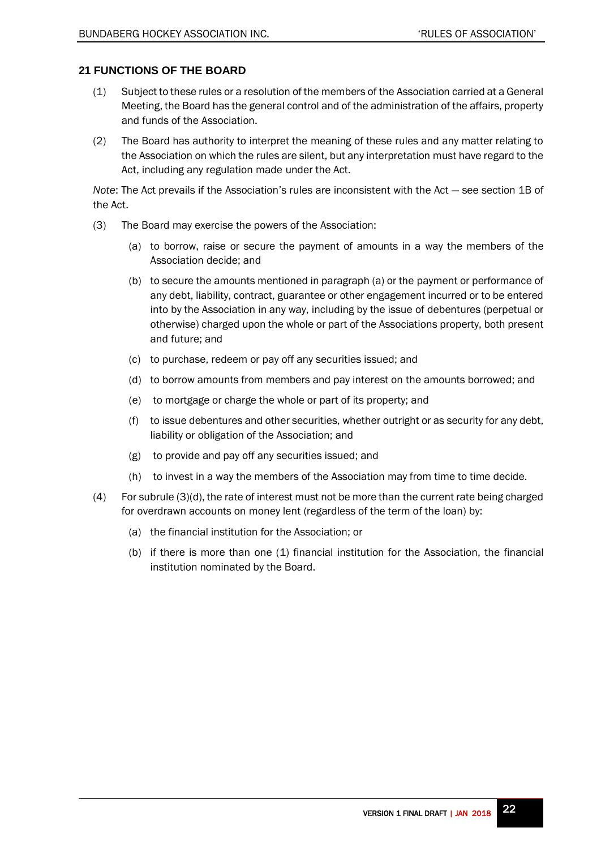# <span id="page-21-0"></span>**21 FUNCTIONS OF THE BOARD**

- (1) Subject to these rules or a resolution of the members of the Association carried at a General Meeting, the Board has the general control and of the administration of the affairs, property and funds of the Association.
- (2) The Board has authority to interpret the meaning of these rules and any matter relating to the Association on which the rules are silent, but any interpretation must have regard to the Act, including any regulation made under the Act.

*Note*: The Act prevails if the Association's rules are inconsistent with the Act — see section 1B of the Act.

- (3) The Board may exercise the powers of the Association:
	- (a) to borrow, raise or secure the payment of amounts in a way the members of the Association decide; and
	- (b) to secure the amounts mentioned in paragraph (a) or the payment or performance of any debt, liability, contract, guarantee or other engagement incurred or to be entered into by the Association in any way, including by the issue of debentures (perpetual or otherwise) charged upon the whole or part of the Associations property, both present and future; and
	- (c) to purchase, redeem or pay off any securities issued; and
	- (d) to borrow amounts from members and pay interest on the amounts borrowed; and
	- (e) to mortgage or charge the whole or part of its property; and
	- (f) to issue debentures and other securities, whether outright or as security for any debt, liability or obligation of the Association; and
	- (g) to provide and pay off any securities issued; and
	- (h) to invest in a way the members of the Association may from time to time decide.
- (4) For subrule (3)(d), the rate of interest must not be more than the current rate being charged for overdrawn accounts on money lent (regardless of the term of the loan) by:
	- (a) the financial institution for the Association; or
	- (b) if there is more than one (1) financial institution for the Association, the financial institution nominated by the Board.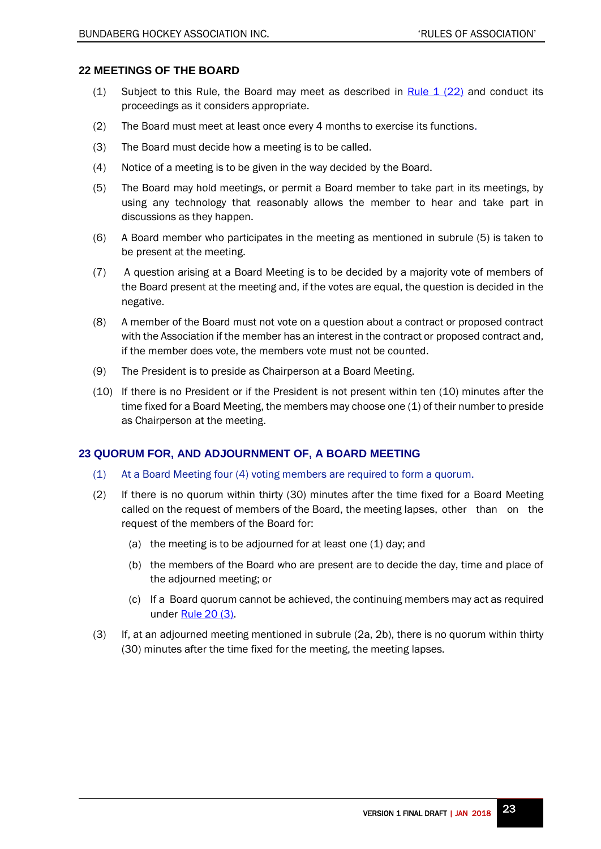# <span id="page-22-0"></span>**22 MEETINGS OF THE BOARD**

- <span id="page-22-2"></span>(1) Subject to this Rule, the Board may meet as described in  $Rule 1 (22)$  and conduct its proceedings as it considers appropriate.
- (2) The Board must meet at least once every 4 months to exercise its functions.
- (3) The Board must decide how a meeting is to be called.
- (4) Notice of a meeting is to be given in the way decided by the Board.
- (5) The Board may hold meetings, or permit a Board member to take part in its meetings, by using any technology that reasonably allows the member to hear and take part in discussions as they happen.
- (6) A Board member who participates in the meeting as mentioned in subrule (5) is taken to be present at the meeting.
- (7) A question arising at a Board Meeting is to be decided by a majority vote of members of the Board present at the meeting and, if the votes are equal, the question is decided in the negative.
- (8) A member of the Board must not vote on a question about a contract or proposed contract with the Association if the member has an interest in the contract or proposed contract and, if the member does vote, the members vote must not be counted.
- (9) The President is to preside as Chairperson at a Board Meeting.
- (10) If there is no President or if the President is not present within ten (10) minutes after the time fixed for a Board Meeting, the members may choose one (1) of their number to preside as Chairperson at the meeting.

# <span id="page-22-1"></span>**23 QUORUM FOR, AND ADJOURNMENT OF, A BOARD MEETING**

- <span id="page-22-3"></span>(1) At a Board Meeting four (4) voting members are required to form a quorum.
- (2) If there is no quorum within thirty (30) minutes after the time fixed for a Board Meeting called on the request of members of the Board, the meeting lapses, other than on the request of the members of the Board for:
	- (a) the meeting is to be adjourned for at least one (1) day; and
	- (b) the members of the Board who are present are to decide the day, time and place of the adjourned meeting; or
	- (c) If a Board quorum cannot be achieved, the continuing members may act as required under [Rule](#page-20-5) 20 (3).
- (3) If, at an adjourned meeting mentioned in subrule (2a, 2b), there is no quorum within thirty (30) minutes after the time fixed for the meeting, the meeting lapses.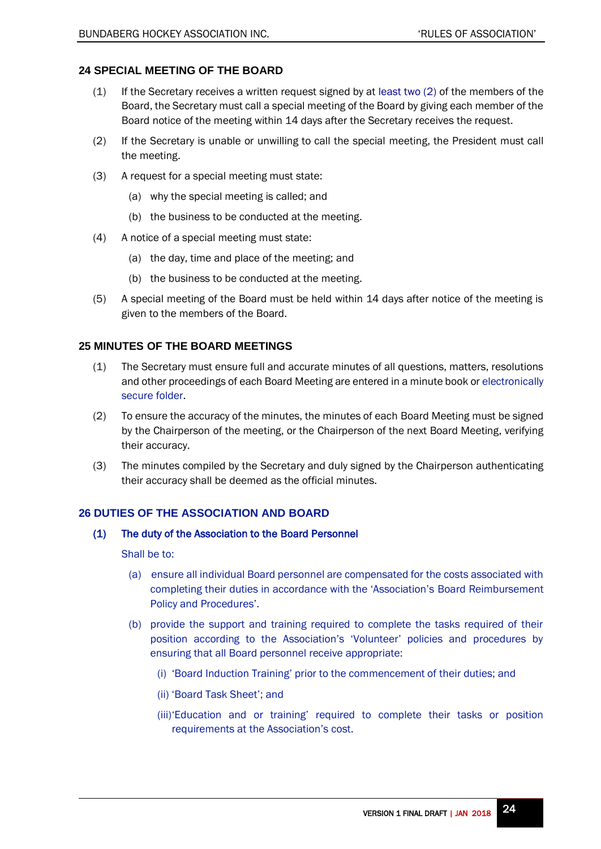# <span id="page-23-0"></span>**24 SPECIAL MEETING OF THE BOARD**

- $(1)$  If the Secretary receives a written request signed by at least two  $(2)$  of the members of the Board, the Secretary must call a special meeting of the Board by giving each member of the Board notice of the meeting within 14 days after the Secretary receives the request.
- (2) If the Secretary is unable or unwilling to call the special meeting, the President must call the meeting.
- (3) A request for a special meeting must state:
	- (a) why the special meeting is called; and
	- (b) the business to be conducted at the meeting.
- (4) A notice of a special meeting must state:
	- (a) the day, time and place of the meeting; and
	- (b) the business to be conducted at the meeting.
- (5) A special meeting of the Board must be held within 14 days after notice of the meeting is given to the members of the Board.

# <span id="page-23-1"></span>**25 MINUTES OF THE BOARD MEETINGS**

- (1) The Secretary must ensure full and accurate minutes of all questions, matters, resolutions and other proceedings of each Board Meeting are entered in a minute book or electronically secure folder.
- (2) To ensure the accuracy of the minutes, the minutes of each Board Meeting must be signed by the Chairperson of the meeting, or the Chairperson of the next Board Meeting, verifying their accuracy.
- (3) The minutes compiled by the Secretary and duly signed by the Chairperson authenticating their accuracy shall be deemed as the official minutes.

# <span id="page-23-2"></span>**26 DUTIES OF THE ASSOCIATION AND BOARD**

## (1) The duty of the Association to the Board Personnel

## Shall be to:

- (a) ensure all individual Board personnel are compensated for the costs associated with completing their duties in accordance with the 'Association's Board Reimbursement Policy and Procedures'.
- (b) provide the support and training required to complete the tasks required of their position according to the Association's 'Volunteer' policies and procedures by ensuring that all Board personnel receive appropriate:
	- (i) 'Board Induction Training' prior to the commencement of their duties; and
	- (ii) 'Board Task Sheet'; and
	- (iii)'Education and or training' required to complete their tasks or position requirements at the Association's cost.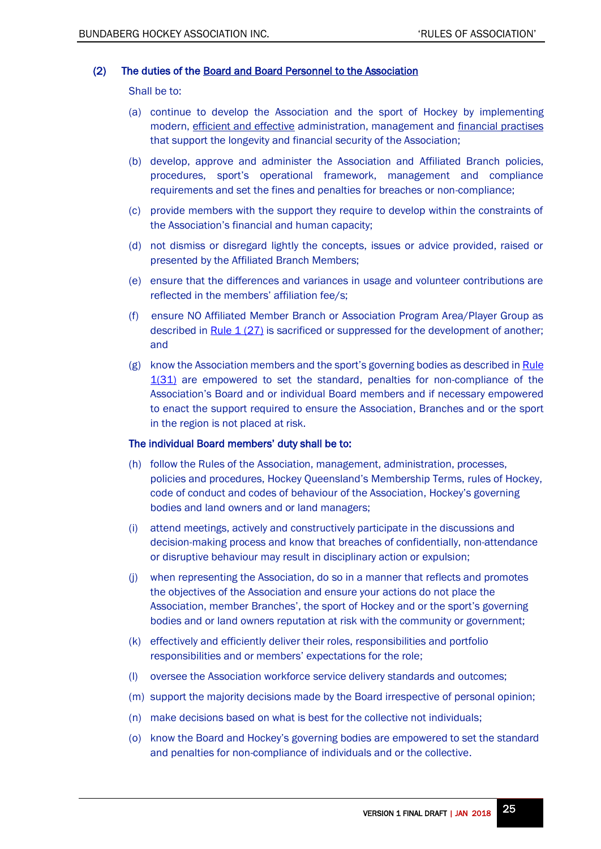#### (2) The duties of the Board and Board Personnel to the Association

Shall be to:

- (a) continue to develop the Association and the sport of Hockey by implementing modern, efficient and effective administration, management and financial practises that support the longevity and financial security of the Association;
- (b) develop, approve and administer the Association and Affiliated Branch policies, procedures, sport's operational framework, management and compliance requirements and set the fines and penalties for breaches or non-compliance;
- (c) provide members with the support they require to develop within the constraints of the Association's financial and human capacity;
- (d) not dismiss or disregard lightly the concepts, issues or advice provided, raised or presented by the Affiliated Branch Members;
- (e) ensure that the differences and variances in usage and volunteer contributions are reflected in the members' affiliation fee/s;
- <span id="page-24-0"></span>(f) ensure NO Affiliated Member Branch or Association Program Area/Player Group as described in [Rule 1 \(27\)](#page-6-4) is sacrificed or suppressed for the development of another; and
- (g) know the Association members and the sport's governing bodies as described in Rule [1\(31\)](#page-6-1) are empowered to set the standard, penalties for non-compliance of the Association's Board and or individual Board members and if necessary empowered to enact the support required to ensure the Association, Branches and or the sport in the region is not placed at risk.

#### The individual Board members' duty shall be to:

- (h) follow the Rules of the Association, management, administration, processes, policies and procedures, Hockey Queensland's Membership Terms, rules of Hockey, code of conduct and codes of behaviour of the Association, Hockey's governing bodies and land owners and or land managers;
- (i) attend meetings, actively and constructively participate in the discussions and decision-making process and know that breaches of confidentially, non-attendance or disruptive behaviour may result in disciplinary action or expulsion;
- (j) when representing the Association, do so in a manner that reflects and promotes the objectives of the Association and ensure your actions do not place the Association, member Branches', the sport of Hockey and or the sport's governing bodies and or land owners reputation at risk with the community or government;
- (k) effectively and efficiently deliver their roles, responsibilities and portfolio responsibilities and or members' expectations for the role;
- (l) oversee the Association workforce service delivery standards and outcomes;
- (m) support the majority decisions made by the Board irrespective of personal opinion;
- (n) make decisions based on what is best for the collective not individuals;
- <span id="page-24-1"></span>(o) know the Board and Hockey's governing bodies are empowered to set the standard and penalties for non-compliance of individuals and or the collective.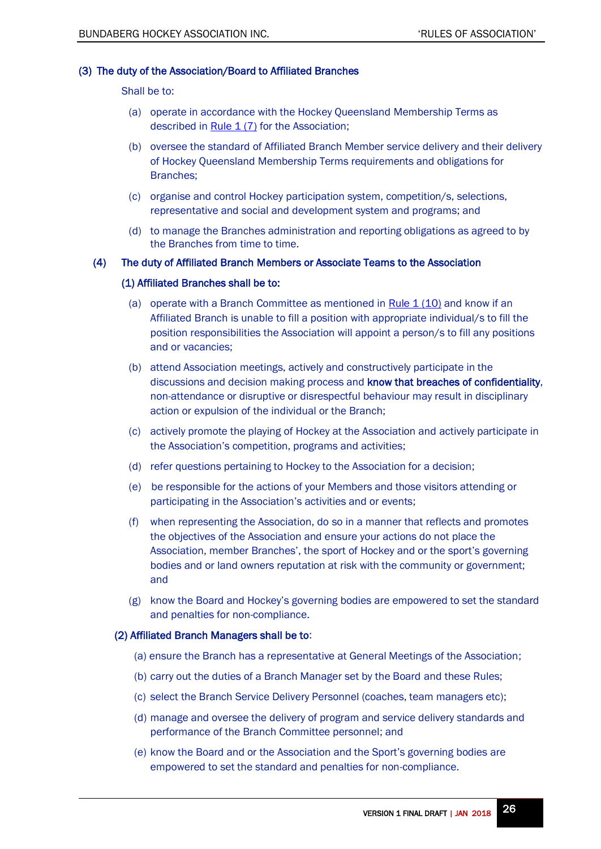# (3) The duty of the Association/Board to Affiliated Branches

Shall be to:

- (a) operate in accordance with the Hockey Queensland Membership Terms as described in Rule  $1(7)$  for the Association;
- (b) oversee the standard of Affiliated Branch Member service delivery and their delivery of Hockey Queensland Membership Terms requirements and obligations for Branches;
- (c) organise and control Hockey participation system, competition/s, selections, representative and social and development system and programs; and
- (d) to manage the Branches administration and reporting obligations as agreed to by the Branches from time to time.

## <span id="page-25-0"></span>(4) The duty of Affiliated Branch Members or Associate Teams to the Association

## (1) Affiliated Branches shall be to:

- (a) operate with a Branch Committee as mentioned in Rule  $1(10)$  and know if an Affiliated Branch is unable to fill a position with appropriate individual/s to fill the position responsibilities the Association will appoint a person/s to fill any positions and or vacancies;
- (b) attend Association meetings, actively and constructively participate in the discussions and decision making process and know that breaches of confidentiality, non-attendance or disruptive or disrespectful behaviour may result in disciplinary action or expulsion of the individual or the Branch;
- (c) actively promote the playing of Hockey at the Association and actively participate in the Association's competition, programs and activities;
- (d) refer questions pertaining to Hockey to the Association for a decision;
- (e) be responsible for the actions of your Members and those visitors attending or participating in the Association's activities and or events;
- (f) when representing the Association, do so in a manner that reflects and promotes the objectives of the Association and ensure your actions do not place the Association, member Branches', the sport of Hockey and or the sport's governing bodies and or land owners reputation at risk with the community or government; and
- (g) know the Board and Hockey's governing bodies are empowered to set the standard and penalties for non-compliance.

## (2) Affiliated Branch Managers shall be to:

- (a) ensure the Branch has a representative at General Meetings of the Association;
- (b) carry out the duties of a Branch Manager set by the Board and these Rules;
- (c) select the Branch Service Delivery Personnel (coaches, team managers etc);
- (d) manage and oversee the delivery of program and service delivery standards and performance of the Branch Committee personnel; and
- (e) know the Board and or the Association and the Sport's governing bodies are empowered to set the standard and penalties for non-compliance.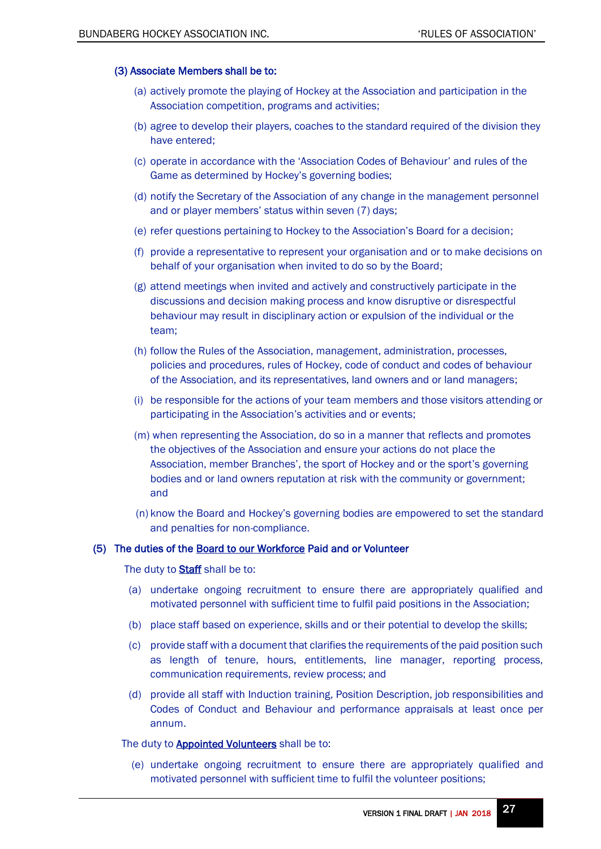#### (3) Associate Members shall be to:

- (a) actively promote the playing of Hockey at the Association and participation in the Association competition, programs and activities;
- (b) agree to develop their players, coaches to the standard required of the division they have entered;
- (c) operate in accordance with the 'Association Codes of Behaviour' and rules of the Game as determined by Hockey's governing bodies;
- (d) notify the Secretary of the Association of any change in the management personnel and or player members' status within seven (7) days;
- (e) refer questions pertaining to Hockey to the Association's Board for a decision;
- (f) provide a representative to represent your organisation and or to make decisions on behalf of your organisation when invited to do so by the Board;
- (g) attend meetings when invited and actively and constructively participate in the discussions and decision making process and know disruptive or disrespectful behaviour may result in disciplinary action or expulsion of the individual or the team;
- (h) follow the Rules of the Association, management, administration, processes, policies and procedures, rules of Hockey, code of conduct and codes of behaviour of the Association, and its representatives, land owners and or land managers;
- (i) be responsible for the actions of your team members and those visitors attending or participating in the Association's activities and or events;
- (m) when representing the Association, do so in a manner that reflects and promotes the objectives of the Association and ensure your actions do not place the Association, member Branches', the sport of Hockey and or the sport's governing bodies and or land owners reputation at risk with the community or government; and
- (n) know the Board and Hockey's governing bodies are empowered to set the standard and penalties for non-compliance.

## (5) The duties of the Board to our Workforce Paid and or Volunteer

The duty to **Staff** shall be to:

- (a) undertake ongoing recruitment to ensure there are appropriately qualified and motivated personnel with sufficient time to fulfil paid positions in the Association;
- (b) place staff based on experience, skills and or their potential to develop the skills;
- (c) provide staff with a document that clarifies the requirements of the paid position such as length of tenure, hours, entitlements, line manager, reporting process, communication requirements, review process; and
- (d) provide all staff with Induction training, Position Description, job responsibilities and Codes of Conduct and Behaviour and performance appraisals at least once per annum.

<span id="page-26-0"></span>The duty to **Appointed Volunteers** shall be to:

(e) undertake ongoing recruitment to ensure there are appropriately qualified and motivated personnel with sufficient time to fulfil the volunteer positions;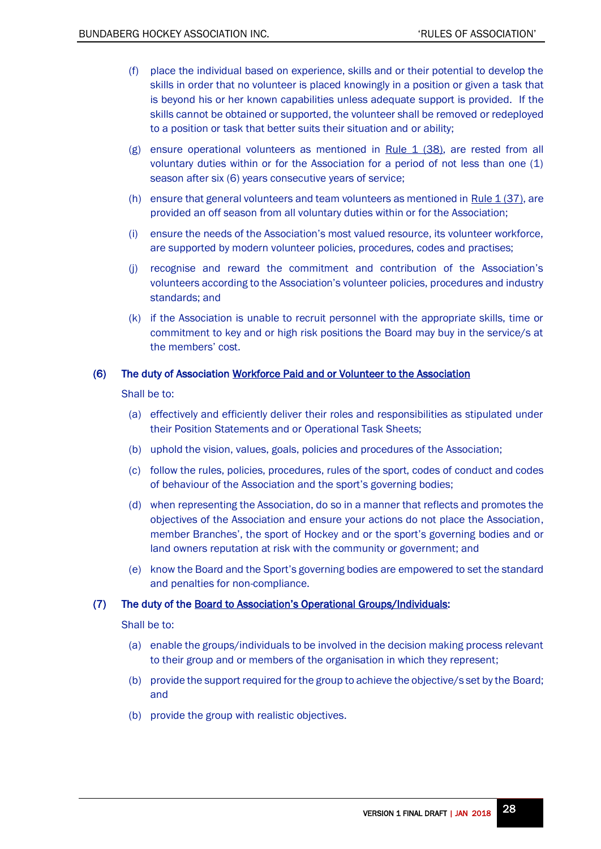- (f) place the individual based on experience, skills and or their potential to develop the skills in order that no volunteer is placed knowingly in a position or given a task that is beyond his or her known capabilities unless adequate support is provided. If the skills cannot be obtained or supported, the volunteer shall be removed or redeployed to a position or task that better suits their situation and or ability;
- (g) ensure operational volunteers as mentioned in Rule  $1$  (38), are rested from all voluntary duties within or for the Association for a period of not less than one (1) season after six (6) years consecutive years of service;
- (h) ensure that general volunteers and team volunteers as mentioned in Rule  $1(37)$ , are provided an off season from all voluntary duties within or for the Association;
- (i) ensure the needs of the Association's most valued resource, its volunteer workforce, are supported by modern volunteer policies, procedures, codes and practises;
- (j) recognise and reward the commitment and contribution of the Association's volunteers according to the Association's volunteer policies, procedures and industry standards; and
- (k) if the Association is unable to recruit personnel with the appropriate skills, time or commitment to key and or high risk positions the Board may buy in the service/s at the members' cost.

## (6) The duty of Association Workforce Paid and or Volunteer to the Association

Shall be to:

- (a) effectively and efficiently deliver their roles and responsibilities as stipulated under their Position Statements and or Operational Task Sheets;
- (b) uphold the vision, values, goals, policies and procedures of the Association;
- (c) follow the rules, policies, procedures, rules of the sport, codes of conduct and codes of behaviour of the Association and the sport's governing bodies;
- (d) when representing the Association, do so in a manner that reflects and promotes the objectives of the Association and ensure your actions do not place the Association, member Branches', the sport of Hockey and or the sport's governing bodies and or land owners reputation at risk with the community or government; and
- (e) know the Board and the Sport's governing bodies are empowered to set the standard and penalties for non-compliance.

## (7) The duty of the Board to Association's Operational Groups/Individuals:

Shall be to:

- (a) enable the groups/individuals to be involved in the decision making process relevant to their group and or members of the organisation in which they represent;
- (b) provide the support required for the group to achieve the objective/s set by the Board; and
- (b) provide the group with realistic objectives.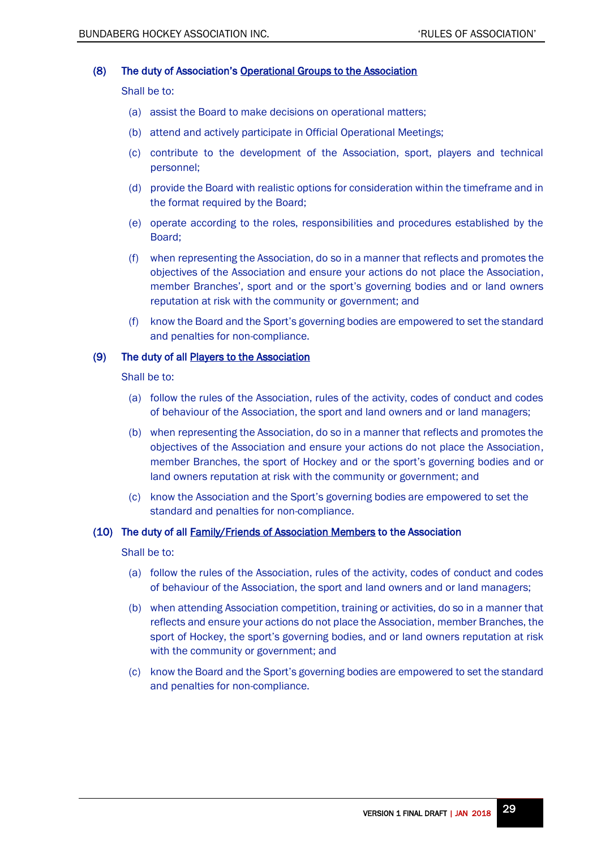## (8) The duty of Association's Operational Groups to the Association

Shall be to:

- (a) assist the Board to make decisions on operational matters;
- (b) attend and actively participate in Official Operational Meetings;
- (c) contribute to the development of the Association, sport, players and technical personnel;
- (d) provide the Board with realistic options for consideration within the timeframe and in the format required by the Board;
- (e) operate according to the roles, responsibilities and procedures established by the Board;
- (f) when representing the Association, do so in a manner that reflects and promotes the objectives of the Association and ensure your actions do not place the Association, member Branches', sport and or the sport's governing bodies and or land owners reputation at risk with the community or government; and
- (f) know the Board and the Sport's governing bodies are empowered to set the standard and penalties for non-compliance.

#### (9) The duty of all Players to the Association

Shall be to:

- (a) follow the rules of the Association, rules of the activity, codes of conduct and codes of behaviour of the Association, the sport and land owners and or land managers;
- (b) when representing the Association, do so in a manner that reflects and promotes the objectives of the Association and ensure your actions do not place the Association, member Branches, the sport of Hockey and or the sport's governing bodies and or land owners reputation at risk with the community or government; and
- (c) know the Association and the Sport's governing bodies are empowered to set the standard and penalties for non-compliance.

#### (10) The duty of all Family/Friends of Association Members to the Association

Shall be to:

- (a) follow the rules of the Association, rules of the activity, codes of conduct and codes of behaviour of the Association, the sport and land owners and or land managers;
- (b) when attending Association competition, training or activities, do so in a manner that reflects and ensure your actions do not place the Association, member Branches, the sport of Hockey, the sport's governing bodies, and or land owners reputation at risk with the community or government; and
- (c) know the Board and the Sport's governing bodies are empowered to set the standard and penalties for non-compliance.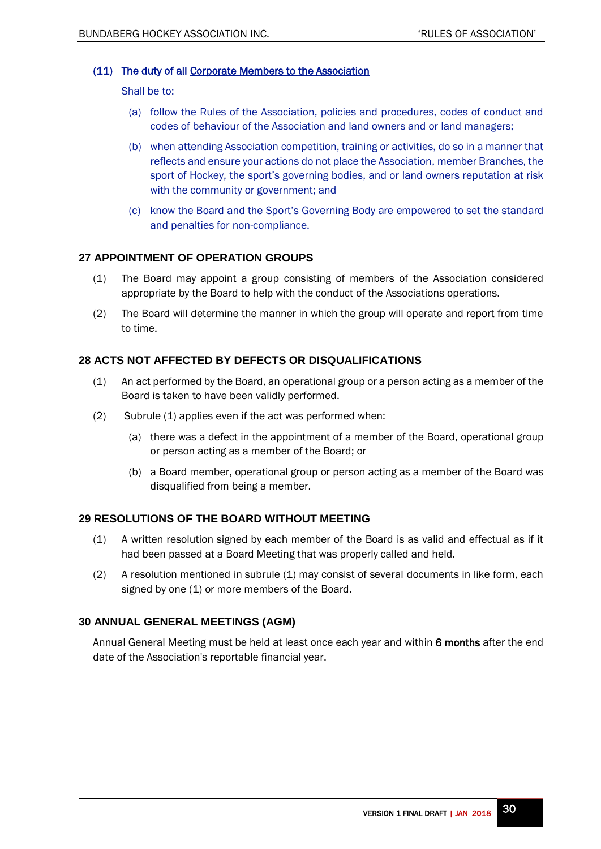# (11) The duty of all Corporate Members to the Association

Shall be to:

- (a) follow the Rules of the Association, policies and procedures, codes of conduct and codes of behaviour of the Association and land owners and or land managers;
- (b) when attending Association competition, training or activities, do so in a manner that reflects and ensure your actions do not place the Association, member Branches, the sport of Hockey, the sport's governing bodies, and or land owners reputation at risk with the community or government; and
- (c) know the Board and the Sport's Governing Body are empowered to set the standard and penalties for non-compliance.

# <span id="page-29-0"></span>**27 APPOINTMENT OF OPERATION GROUPS**

- (1) The Board may appoint a group consisting of members of the Association considered appropriate by the Board to help with the conduct of the Associations operations.
- (2) The Board will determine the manner in which the group will operate and report from time to time.

# <span id="page-29-1"></span>**28 ACTS NOT AFFECTED BY DEFECTS OR DISQUALIFICATIONS**

- (1) An act performed by the Board, an operational group or a person acting as a member of the Board is taken to have been validly performed.
- (2) Subrule (1) applies even if the act was performed when:
	- (a) there was a defect in the appointment of a member of the Board, operational group or person acting as a member of the Board; or
	- (b) a Board member, operational group or person acting as a member of the Board was disqualified from being a member.

## <span id="page-29-2"></span>**29 RESOLUTIONS OF THE BOARD WITHOUT MEETING**

- (1) A written resolution signed by each member of the Board is as valid and effectual as if it had been passed at a Board Meeting that was properly called and held.
- (2) A resolution mentioned in subrule (1) may consist of several documents in like form, each signed by one (1) or more members of the Board.

## <span id="page-29-3"></span>**30 ANNUAL GENERAL MEETINGS (AGM)**

<span id="page-29-4"></span>Annual General Meeting must be held at least once each year and within 6 months after the end date of the Association's reportable financial year.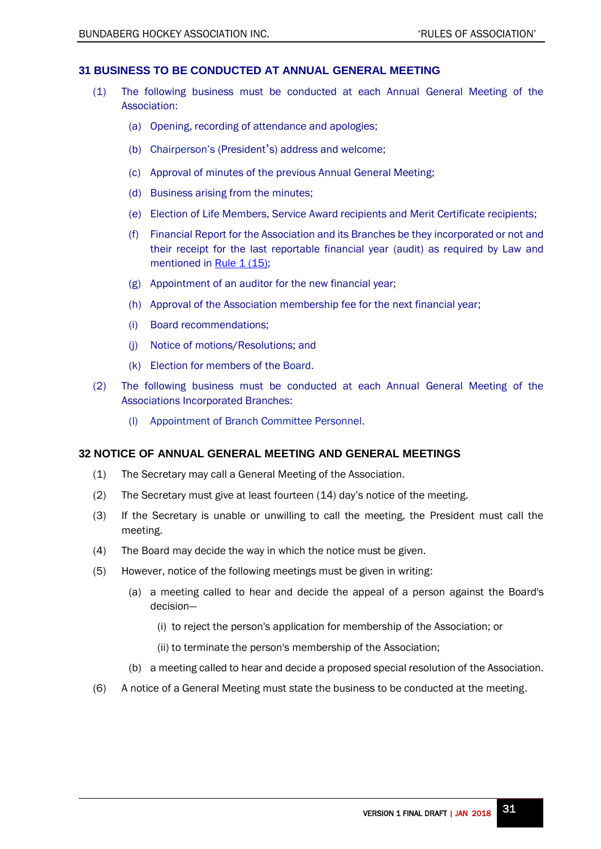## <span id="page-30-0"></span>**31 BUSINESS TO BE CONDUCTED AT ANNUAL GENERAL MEETING**

- (1) The following business must be conducted at each Annual General Meeting of the Association:
	- (a) Opening, recording of attendance and apologies;
	- (b) Chairperson's (President's) address and welcome;
	- (c) Approval of minutes of the previous Annual General Meeting;
	- (d) Business arising from the minutes;
	- (e) Election of Life Members, Service Award recipients and Merit Certificate recipients;
	- (f) Financial Report for the Association and its Branches be they incorporated or not and their receipt for the last reportable financial year (audit) as required by Law and mentioned in Rule 1 (15);
	- (g) Appointment of an auditor for the new financial year;
	- (h) Approval of the Association membership fee for the next financial year;
	- (i) Board recommendations;
	- (j) Notice of motions/Resolutions; and
	- (k) Election for members of the Board.
- (2) The following business must be conducted at each Annual General Meeting of the Associations Incorporated Branches:
	- (l) Appointment of Branch Committee Personnel.

## <span id="page-30-1"></span>**32 NOTICE OF ANNUAL GENERAL MEETING AND GENERAL MEETINGS**

- (1) The Secretary may call a General Meeting of the Association.
- (2) The Secretary must give at least fourteen (14) day's notice of the meeting.
- (3) If the Secretary is unable or unwilling to call the meeting, the President must call the meeting.
- (4) The Board may decide the way in which the notice must be given.
- (5) However, notice of the following meetings must be given in writing:
	- (a) a meeting called to hear and decide the appeal of a person against the Board's decision—
		- (i) to reject the person's application for membership of the Association; or
		- (ii) to terminate the person's membership of the Association;
	- (b) a meeting called to hear and decide a proposed special resolution of the Association.
- (6) A notice of a General Meeting must state the business to be conducted at the meeting.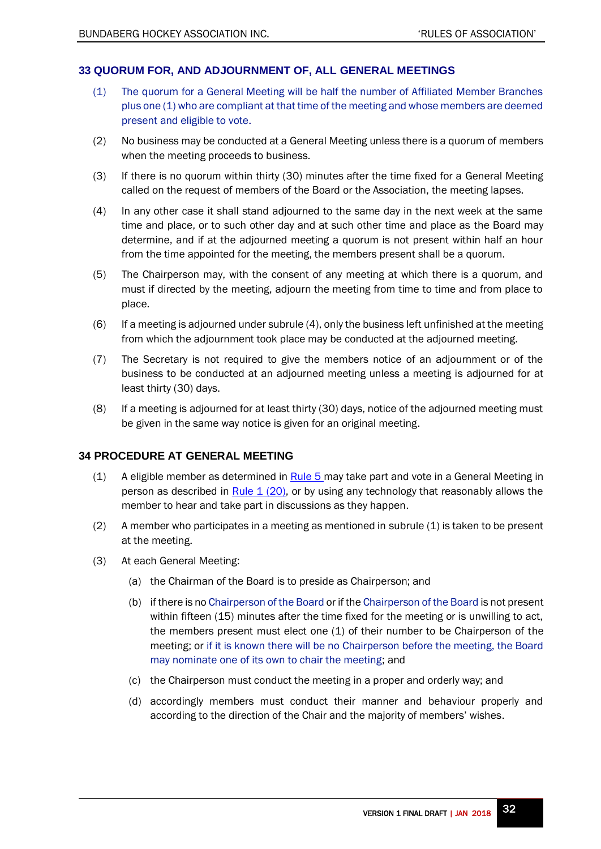# <span id="page-31-0"></span>**33 QUORUM FOR, AND ADJOURNMENT OF, ALL GENERAL MEETINGS**

- (1) The quorum for a General Meeting will be half the number of Affiliated Member Branches plus one (1) who are compliant at that time of the meeting and whose members are deemed present and eligible to vote.
- (2) No business may be conducted at a General Meeting unless there is a quorum of members when the meeting proceeds to business.
- (3) If there is no quorum within thirty (30) minutes after the time fixed for a General Meeting called on the request of members of the Board or the Association, the meeting lapses.
- (4) In any other case it shall stand adjourned to the same day in the next week at the same time and place, or to such other day and at such other time and place as the Board may determine, and if at the adjourned meeting a quorum is not present within half an hour from the time appointed for the meeting, the members present shall be a quorum.
- (5) The Chairperson may, with the consent of any meeting at which there is a quorum, and must if directed by the meeting, adjourn the meeting from time to time and from place to place.
- (6) If a meeting is adjourned under subrule (4), only the business left unfinished at the meeting from which the adjournment took place may be conducted at the adjourned meeting.
- (7) The Secretary is not required to give the members notice of an adjournment or of the business to be conducted at an adjourned meeting unless a meeting is adjourned for at least thirty (30) days.
- (8) If a meeting is adjourned for at least thirty (30) days, notice of the adjourned meeting must be given in the same way notice is given for an original meeting.

# <span id="page-31-1"></span>**34 PROCEDURE AT GENERAL MEETING**

- <span id="page-31-2"></span>(1) A eligible member as determined in  $Rule 5$  may take part and vote in a General Meeting in person as described in Rule  $1(20)$ , or by using any technology that reasonably allows the member to hear and take part in discussions as they happen.
- $(2)$  A member who participates in a meeting as mentioned in subrule  $(1)$  is taken to be present at the meeting.
- (3) At each General Meeting:
	- (a) the Chairman of the Board is to preside as Chairperson; and
	- (b) if there is no Chairperson of the Board or if the Chairperson of the Board is not present within fifteen (15) minutes after the time fixed for the meeting or is unwilling to act, the members present must elect one (1) of their number to be Chairperson of the meeting; or if it is known there will be no Chairperson before the meeting, the Board may nominate one of its own to chair the meeting; and
	- (c) the Chairperson must conduct the meeting in a proper and orderly way; and
	- (d) accordingly members must conduct their manner and behaviour properly and according to the direction of the Chair and the majority of members' wishes.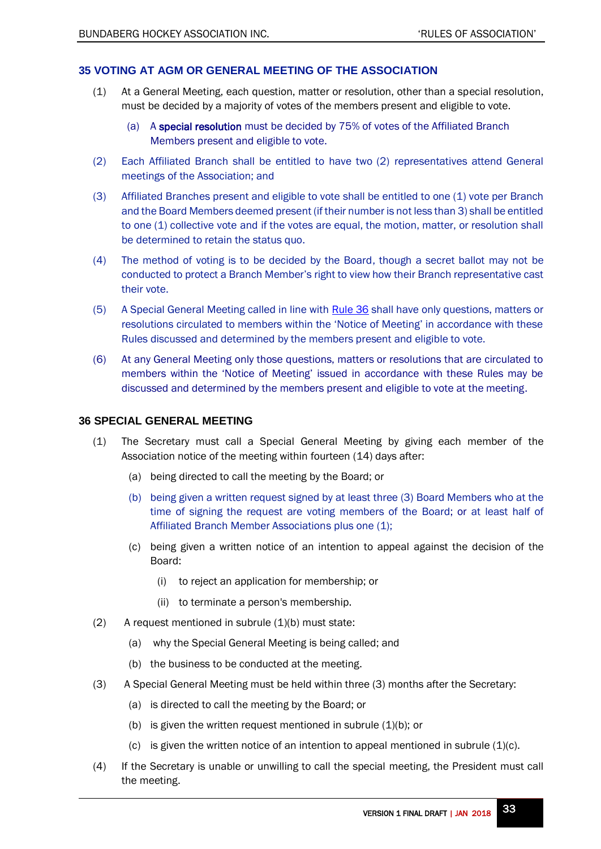# <span id="page-32-0"></span>**35 VOTING AT AGM OR GENERAL MEETING OF THE ASSOCIATION**

- <span id="page-32-2"></span>(1) At a General Meeting, each question, matter or resolution, other than a special resolution, must be decided by a majority of votes of the members present and eligible to vote.
	- (a) A special resolution must be decided by 75% of votes of the Affiliated Branch Members present and eligible to vote.
- (2) Each Affiliated Branch shall be entitled to have two (2) representatives attend General meetings of the Association; and
- (3) Affiliated Branches present and eligible to vote shall be entitled to one (1) vote per Branch and the Board Members deemed present (if their number is not less than 3) shall be entitled to one (1) collective vote and if the votes are equal, the motion, matter, or resolution shall be determined to retain the status quo.
- (4) The method of voting is to be decided by the Board, though a secret ballot may not be conducted to protect a Branch Member's right to view how their Branch representative cast their vote.
- (5) A Special General Meeting called in line with [Rule 36](#page-32-1) shall have only questions, matters or resolutions circulated to members within the 'Notice of Meeting' in accordance with these Rules discussed and determined by the members present and eligible to vote.
- (6) At any General Meeting only those questions, matters or resolutions that are circulated to members within the 'Notice of Meeting' issued in accordance with these Rules may be discussed and determined by the members present and eligible to vote at the meeting.

## <span id="page-32-1"></span>**36 SPECIAL GENERAL MEETING**

- (1) The Secretary must call a Special General Meeting by giving each member of the Association notice of the meeting within fourteen (14) days after:
	- (a) being directed to call the meeting by the Board; or
	- (b) being given a written request signed by at least three (3) Board Members who at the time of signing the request are voting members of the Board; or at least half of Affiliated Branch Member Associations plus one (1);
	- (c) being given a written notice of an intention to appeal against the decision of the Board:
		- (i) to reject an application for membership; or
		- (ii) to terminate a person's membership.
- $(2)$  A request mentioned in subrule  $(1)(b)$  must state:
	- (a) why the Special General Meeting is being called; and
	- (b) the business to be conducted at the meeting.
- (3) A Special General Meeting must be held within three (3) months after the Secretary:
	- (a) is directed to call the meeting by the Board; or
	- (b) is given the written request mentioned in subrule  $(1)(b)$ ; or
	- (c) is given the written notice of an intention to appeal mentioned in subrule  $(1)(c)$ .
- (4) If the Secretary is unable or unwilling to call the special meeting, the President must call the meeting.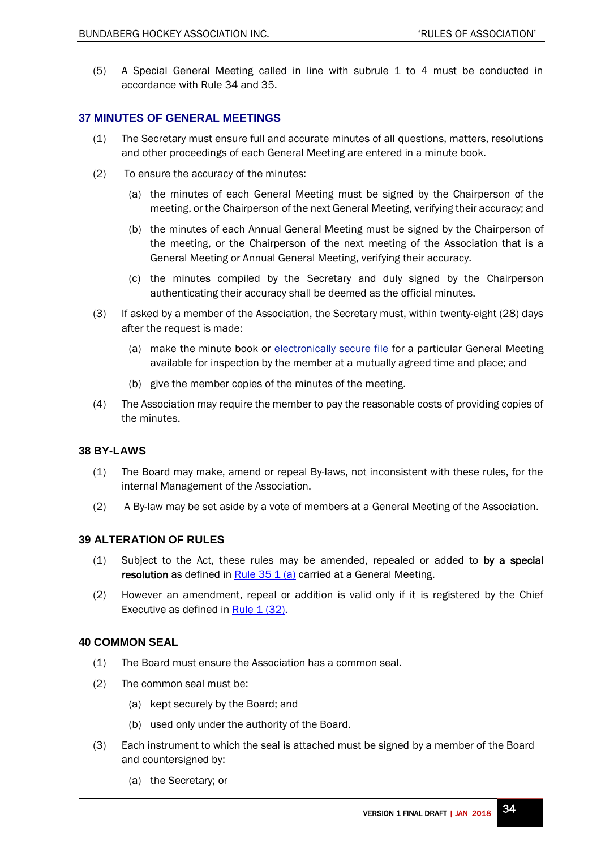(5) A Special General Meeting called in line with subrule 1 to 4 must be conducted in accordance with Rule 34 and 35.

# <span id="page-33-0"></span>**37 MINUTES OF GENERAL MEETINGS**

- (1) The Secretary must ensure full and accurate minutes of all questions, matters, resolutions and other proceedings of each General Meeting are entered in a minute book.
- (2) To ensure the accuracy of the minutes:
	- (a) the minutes of each General Meeting must be signed by the Chairperson of the meeting, or the Chairperson of the next General Meeting, verifying their accuracy; and
	- (b) the minutes of each Annual General Meeting must be signed by the Chairperson of the meeting, or the Chairperson of the next meeting of the Association that is a General Meeting or Annual General Meeting, verifying their accuracy.
	- (c) the minutes compiled by the Secretary and duly signed by the Chairperson authenticating their accuracy shall be deemed as the official minutes.
- (3) If asked by a member of the Association, the Secretary must, within twenty-eight (28) days after the request is made:
	- (a) make the minute book or electronically secure file for a particular General Meeting available for inspection by the member at a mutually agreed time and place; and
	- (b) give the member copies of the minutes of the meeting.
- (4) The Association may require the member to pay the reasonable costs of providing copies of the minutes.

## <span id="page-33-1"></span>**38 BY-LAWS**

- (1) The Board may make, amend or repeal By-laws, not inconsistent with these rules, for the internal Management of the Association.
- (2) A By-law may be set aside by a vote of members at a General Meeting of the Association.

## <span id="page-33-2"></span>**39 ALTERATION OF RULES**

- (1) Subject to the Act, these rules may be amended, repealed or added to by a special resolution as defined in Rule  $35 \, 1 \, (a)$  carried at a General Meeting.
- (2) However an amendment, repeal or addition is valid only if it is registered by the Chief Executive as defined in Rule  $1(32)$ .

## <span id="page-33-3"></span>**40 COMMON SEAL**

- (1) The Board must ensure the Association has a common seal.
- (2) The common seal must be:
	- (a) kept securely by the Board; and
	- (b) used only under the authority of the Board.
- (3) Each instrument to which the seal is attached must be signed by a member of the Board and countersigned by:
	- (a) the Secretary; or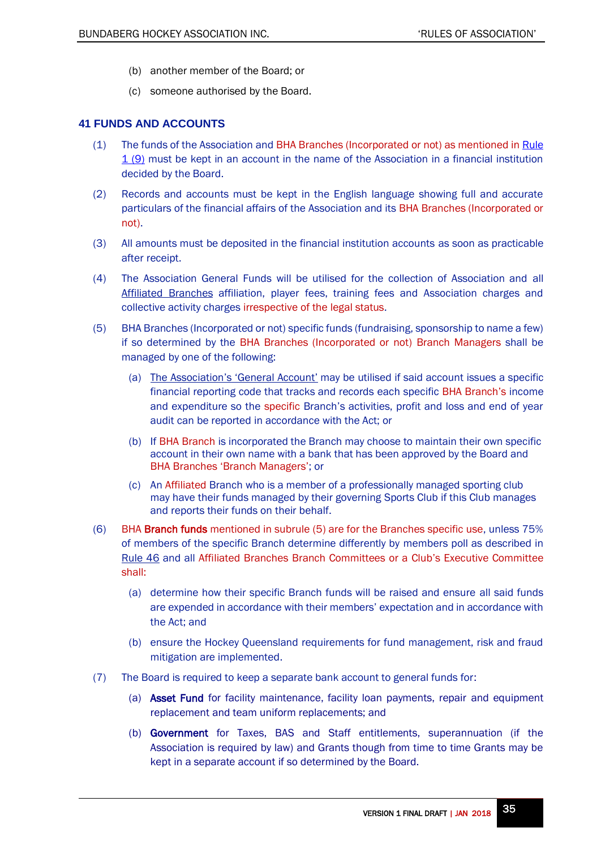- (b) another member of the Board; or
- (c) someone authorised by the Board.

# <span id="page-34-0"></span>**41 FUNDS AND ACCOUNTS**

- (1) The funds of the Association and BHA Branches (Incorporated or not) as mentioned i[n Rule](#page-4-2)  [1 \(9\)](#page-4-2) must be kept in an account in the name of the Association in a financial institution decided by the Board.
- (2) Records and accounts must be kept in the English language showing full and accurate particulars of the financial affairs of the Association and its BHA Branches (Incorporated or not).
- (3) All amounts must be deposited in the financial institution accounts as soon as practicable after receipt.
- (4) The Association General Funds will be utilised for the collection of Association and all Affiliated Branches affiliation, player fees, training fees and Association charges and collective activity charges irrespective of the legal status.
- (5) BHA Branches (Incorporated or not) specific funds (fundraising, sponsorship to name a few) if so determined by the BHA Branches (Incorporated or not) Branch Managers shall be managed by one of the following:
	- (a) The Association's 'General Account' may be utilised if said account issues a specific financial reporting code that tracks and records each specific BHA Branch's income and expenditure so the specific Branch's activities, profit and loss and end of year audit can be reported in accordance with the Act; or
	- (b) If BHA Branch is incorporated the Branch may choose to maintain their own specific account in their own name with a bank that has been approved by the Board and BHA Branches 'Branch Managers'; or
	- (c) An Affiliated Branch who is a member of a professionally managed sporting club may have their funds managed by their governing Sports Club if this Club manages and reports their funds on their behalf.
- (6) BHA Branch funds mentioned in subrule (5) are for the Branches specific use, unless 75% of members of the specific Branch determine differently by members poll as described in [Rule 46](#page-38-1) and all Affiliated Branches Branch Committees or a Club's Executive Committee shall:
	- (a) determine how their specific Branch funds will be raised and ensure all said funds are expended in accordance with their members' expectation and in accordance with the Act; and
	- (b) ensure the Hockey Queensland requirements for fund management, risk and fraud mitigation are implemented.
- (7) The Board is required to keep a separate bank account to general funds for:
	- (a) Asset Fund for facility maintenance, facility loan payments, repair and equipment replacement and team uniform replacements; and
	- (b) Government for Taxes, BAS and Staff entitlements, superannuation (if the Association is required by law) and Grants though from time to time Grants may be kept in a separate account if so determined by the Board.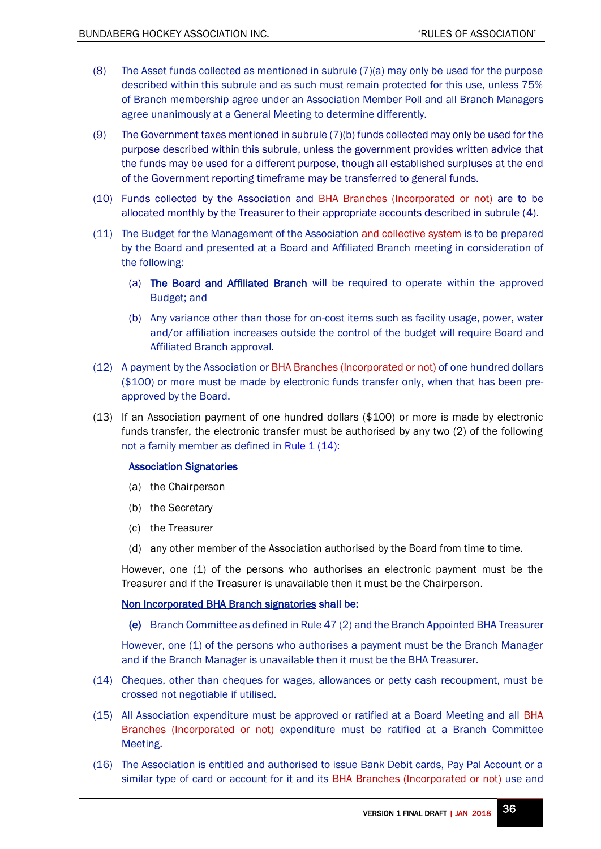- (8) The Asset funds collected as mentioned in subrule (7)(a) may only be used for the purpose described within this subrule and as such must remain protected for this use, unless 75% of Branch membership agree under an Association Member Poll and all Branch Managers agree unanimously at a General Meeting to determine differently.
- (9) The Government taxes mentioned in subrule (7)(b) funds collected may only be used for the purpose described within this subrule, unless the government provides written advice that the funds may be used for a different purpose, though all established surpluses at the end of the Government reporting timeframe may be transferred to general funds.
- (10) Funds collected by the Association and BHA Branches (Incorporated or not) are to be allocated monthly by the Treasurer to their appropriate accounts described in subrule (4).
- (11) The Budget for the Management of the Association and collective system is to be prepared by the Board and presented at a Board and Affiliated Branch meeting in consideration of the following:
	- (a) The Board and Affiliated Branch will be required to operate within the approved Budget; and
	- (b) Any variance other than those for on-cost items such as facility usage, power, water and/or affiliation increases outside the control of the budget will require Board and Affiliated Branch approval.
- (12) A payment by the Association or BHA Branches (Incorporated or not) of one hundred dollars (\$100) or more must be made by electronic funds transfer only, when that has been preapproved by the Board.
- <span id="page-35-0"></span>(13) If an Association payment of one hundred dollars (\$100) or more is made by electronic funds transfer, the electronic transfer must be authorised by any two (2) of the following not a family member as defined in Rule  $1(14)$ :

## Association Signatories

- (a) the Chairperson
- (b) the Secretary
- (c) the Treasurer
- (d) any other member of the Association authorised by the Board from time to time.

However, one (1) of the persons who authorises an electronic payment must be the Treasurer and if the Treasurer is unavailable then it must be the Chairperson.

## Non Incorporated BHA Branch signatories shall be:

(e) Branch Committee as defined in Rule 47 (2) and the Branch Appointed BHA Treasurer

However, one (1) of the persons who authorises a payment must be the Branch Manager and if the Branch Manager is unavailable then it must be the BHA Treasurer.

- (14) Cheques, other than cheques for wages, allowances or petty cash recoupment, must be crossed not negotiable if utilised.
- (15) All Association expenditure must be approved or ratified at a Board Meeting and all BHA Branches (Incorporated or not) expenditure must be ratified at a Branch Committee Meeting.
- (16) The Association is entitled and authorised to issue Bank Debit cards, Pay Pal Account or a similar type of card or account for it and its BHA Branches (Incorporated or not) use and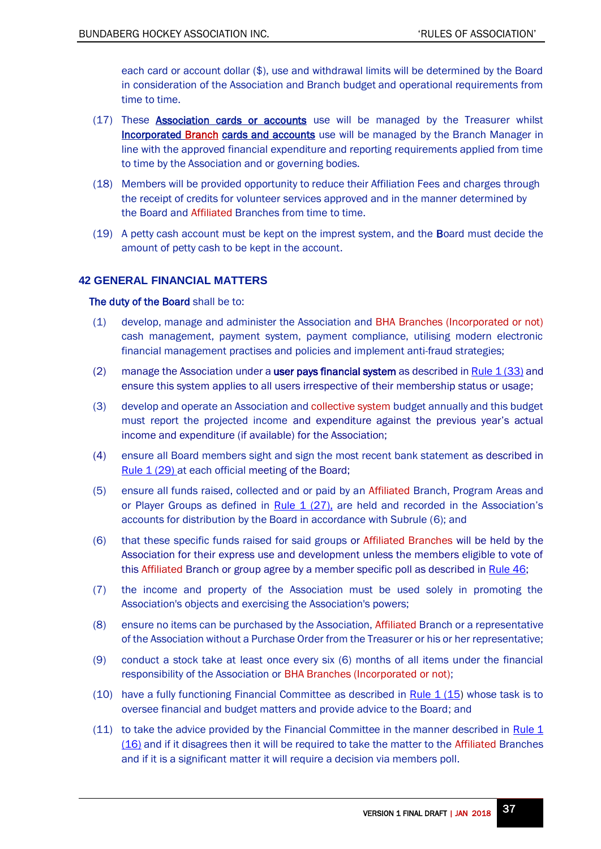each card or account dollar (\$), use and withdrawal limits will be determined by the Board in consideration of the Association and Branch budget and operational requirements from time to time.

- (17) These **Association cards or accounts** use will be managed by the Treasurer whilst **Incorporated Branch cards and accounts** use will be managed by the Branch Manager in line with the approved financial expenditure and reporting requirements applied from time to time by the Association and or governing bodies.
- (18) Members will be provided opportunity to reduce their Affiliation Fees and charges through the receipt of credits for volunteer services approved and in the manner determined by the Board and Affiliated Branches from time to time.
- (19) A petty cash account must be kept on the imprest system, and the Board must decide the amount of petty cash to be kept in the account.

# <span id="page-36-0"></span>**42 GENERAL FINANCIAL MATTERS**

## The duty of the Board shall be to:

- (1) develop, manage and administer the Association and BHA Branches (Incorporated or not) cash management, payment system, payment compliance, utilising modern electronic financial management practises and policies and implement anti-fraud strategies;
- <span id="page-36-4"></span>(2) manage the Association under a user pays financial system as described in Rule  $1(33)$  and ensure this system applies to all users irrespective of their membership status or usage;
- (3) develop and operate an Association and collective system budget annually and this budget must report the projected income and expenditure against the previous year's actual income and expenditure (if available) for the Association;
- <span id="page-36-3"></span>(4) ensure all Board members sight and sign the most recent bank statement as described in [Rule 1 \(29\)](#page-6-7) at each official meeting of the Board;
- (5) ensure all funds raised, collected and or paid by an Affiliated Branch, Program Areas and or Player Groups as defined in Rule  $1$  (27), are held and recorded in the Association's accounts for distribution by the Board in accordance with Subrule (6); and
- (6) that these specific funds raised for said groups or Affiliated Branches will be held by the Association for their express use and development unless the members eligible to vote of this Affiliated Branch or group agree by a member specific poll as described in [Rule 46](#page-37-3);
- (7) the income and property of the Association must be used solely in promoting the Association's objects and exercising the Association's powers;
- (8) ensure no items can be purchased by the Association, Affiliated Branch or a representative of the Association without a Purchase Order from the Treasurer or his or her representative;
- (9) conduct a stock take at least once every six (6) months of all items under the financial responsibility of the Association or BHA Branches (Incorporated or not);
- <span id="page-36-1"></span>(10) have a fully functioning Financial Committee as described in Rule  $1(15)$  whose task is to oversee financial and budget matters and provide advice to the Board; and
- <span id="page-36-2"></span>(11) to take the advice provided by the Financial Committee in the manner described in [Rule](#page-4-5) 1 [\(16\)](#page-4-5) and if it disagrees then it will be required to take the matter to the Affiliated Branches and if it is a significant matter it will require a decision via members poll.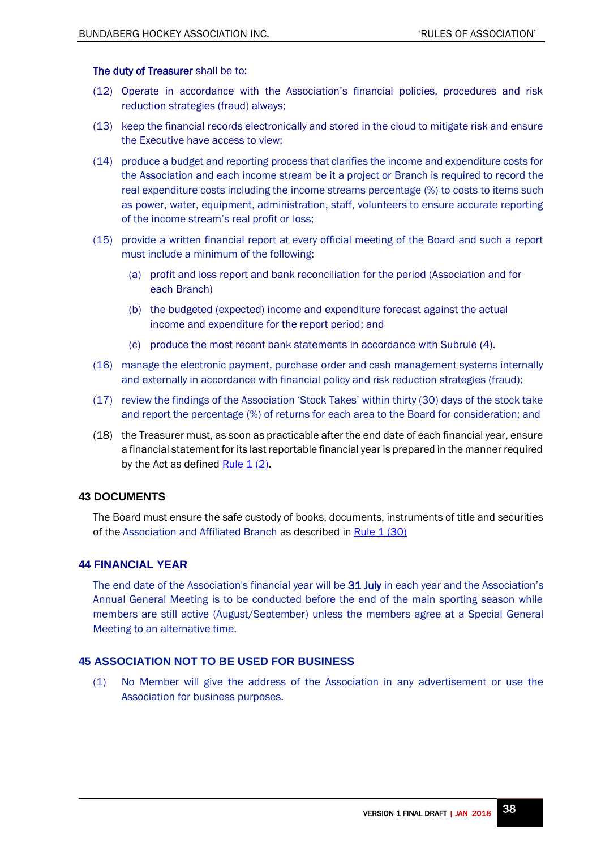## The duty of Treasurer shall be to:

- (12) Operate in accordance with the Association's financial policies, procedures and risk reduction strategies (fraud) always;
- (13) keep the financial records electronically and stored in the cloud to mitigate risk and ensure the Executive have access to view;
- (14) produce a budget and reporting process that clarifies the income and expenditure costs for the Association and each income stream be it a project or Branch is required to record the real expenditure costs including the income streams percentage (%) to costs to items such as power, water, equipment, administration, staff, volunteers to ensure accurate reporting of the income stream's real profit or loss;
- (15) provide a written financial report at every official meeting of the Board and such a report must include a minimum of the following:
	- (a) profit and loss report and bank reconciliation for the period (Association and for each Branch)
	- (b) the budgeted (expected) income and expenditure forecast against the actual income and expenditure for the report period; and
	- (c) produce the most recent bank statements in accordance with Subrule (4).
- (16) manage the electronic payment, purchase order and cash management systems internally and externally in accordance with financial policy and risk reduction strategies (fraud);
- (17) review the findings of the Association 'Stock Takes' within thirty (30) days of the stock take and report the percentage (%) of returns for each area to the Board for consideration; and
- (18) the Treasurer must, as soon as practicable after the end date of each financial year, ensure a financial statement for its last reportable financial year is prepared in the manner required by the Act as defined  $Rule 1 (2)$ .

# <span id="page-37-0"></span>**43 DOCUMENTS**

The Board must ensure the safe custody of books, documents, instruments of title and securities of the Association and Affiliated Branch as described in Rule  $1(30)$ 

# <span id="page-37-1"></span>**44 FINANCIAL YEAR**

The end date of the Association's financial year will be 31 July in each year and the Association's Annual General Meeting is to be conducted before the end of the main sporting season while members are still active (August/September) unless the members agree at a Special General Meeting to an alternative time.

# <span id="page-37-2"></span>**45 ASSOCIATION NOT TO BE USED FOR BUSINESS**

<span id="page-37-3"></span>(1) No Member will give the address of the Association in any advertisement or use the Association for business purposes.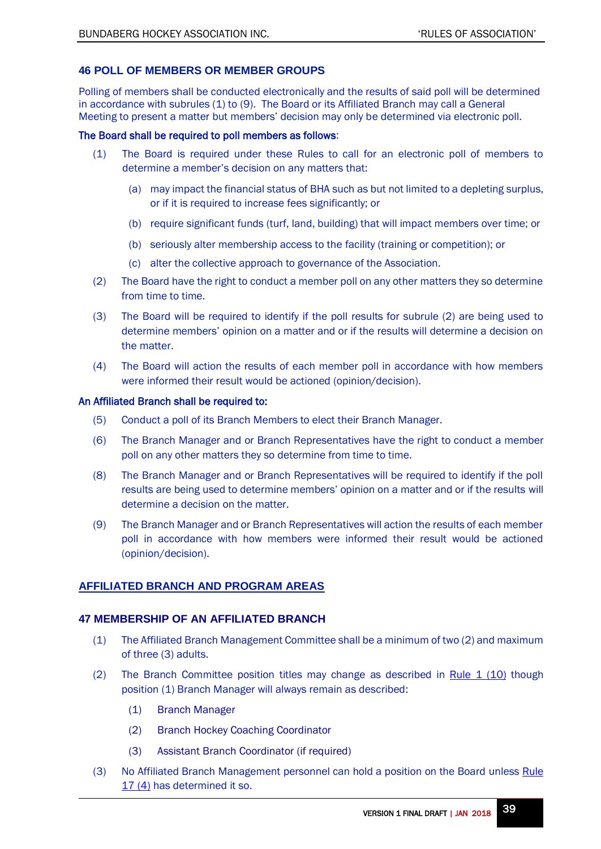# <span id="page-38-0"></span>**46 POLL OF MEMBERS OR MEMBER GROUPS**

Polling of members shall be conducted electronically and the results of said poll will be determined in accordance with subrules (1) to (9). The Board or its Affiliated Branch may call a General Meeting to present a matter but members' decision may only be determined via electronic poll.

## The Board shall be required to poll members as follows:

- (1) The Board is required under these Rules to call for an electronic poll of members to determine a member's decision on any matters that:
	- (a) may impact the financial status of BHA such as but not limited to a depleting surplus, or if it is required to increase fees significantly; or
	- (b) require significant funds (turf, land, building) that will impact members over time; or
	- (b) seriously alter membership access to the facility (training or competition); or
	- (c) alter the collective approach to governance of the Association.
- (2) The Board have the right to conduct a member poll on any other matters they so determine from time to time.
- (3) The Board will be required to identify if the poll results for subrule (2) are being used to determine members' opinion on a matter and or if the results will determine a decision on the matter.
- (4) The Board will action the results of each member poll in accordance with how members were informed their result would be actioned (opinion/decision).

## An Affiliated Branch shall be required to:

- (5) Conduct a poll of its Branch Members to elect their Branch Manager.
- (6) The Branch Manager and or Branch Representatives have the right to conduct a member poll on any other matters they so determine from time to time.
- (8) The Branch Manager and or Branch Representatives will be required to identify if the poll results are being used to determine members' opinion on a matter and or if the results will determine a decision on the matter.
- (9) The Branch Manager and or Branch Representatives will action the results of each member poll in accordance with how members were informed their result would be actioned (opinion/decision).

# <span id="page-38-1"></span>**AFFILIATED BRANCH AND PROGRAM AREAS**

# <span id="page-38-2"></span>**47 MEMBERSHIP OF AN AFFILIATED BRANCH**

- (1) The Affiliated Branch Management Committee shall be a minimum of two (2) and maximum of three (3) adults.
- <span id="page-38-3"></span>(2) The Branch Committee position titles may change as described in Rule  $1$  (10) though position (1) Branch Manager will always remain as described:
	- (1) Branch Manager
	- (2) Branch Hockey Coaching Coordinator
	- (3) Assistant Branch Coordinator (if required)
- <span id="page-38-4"></span>(3) No Affiliated Branch Management personnel can hold a position on the Board unless Rule [17 \(4\)](#page-18-4) has determined it so.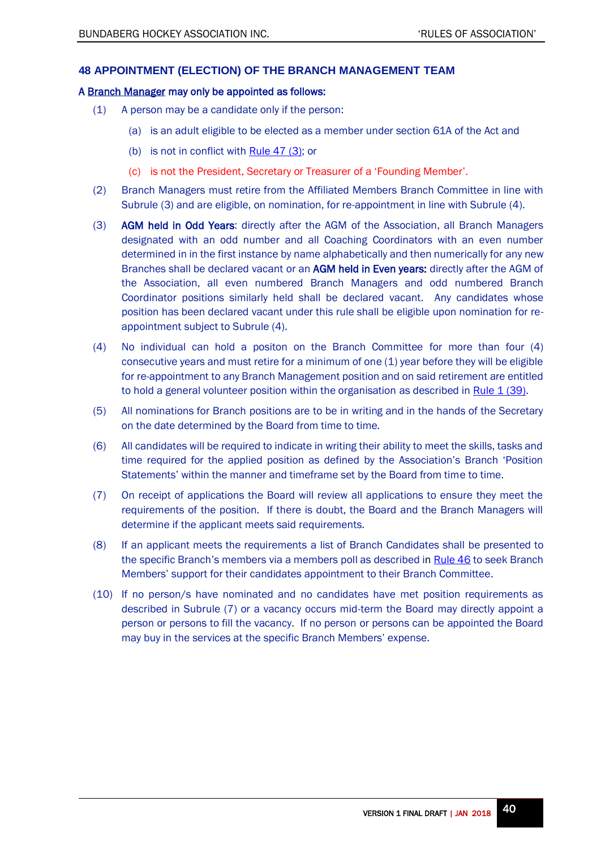# <span id="page-39-0"></span>**48 APPOINTMENT (ELECTION) OF THE BRANCH MANAGEMENT TEAM**

## A Branch Manager may only be appointed as follows:

- (1) A person may be a candidate only if the person:
	- (a) is an adult eligible to be elected as a member under section 61A of the Act and
	- (b) is not in conflict wit[h Rule 47](#page-38-4) (3); or
	- (c) is not the President, Secretary or Treasurer of a 'Founding Member'.
- (2) Branch Managers must retire from the Affiliated Members Branch Committee in line with Subrule (3) and are eligible, on nomination, for re-appointment in line with Subrule (4).
- (3) AGM held in Odd Years: directly after the AGM of the Association, all Branch Managers designated with an odd number and all Coaching Coordinators with an even number determined in in the first instance by name alphabetically and then numerically for any new Branches shall be declared vacant or an AGM held in Even years: directly after the AGM of the Association, all even numbered Branch Managers and odd numbered Branch Coordinator positions similarly held shall be declared vacant. Any candidates whose position has been declared vacant under this rule shall be eligible upon nomination for reappointment subject to Subrule (4).
- (4) No individual can hold a positon on the Branch Committee for more than four (4) consecutive years and must retire for a minimum of one (1) year before they will be eligible for re-appointment to any Branch Management position and on said retirement are entitled to hold a general volunteer position within the organisation as described in Rule  $1(39)$ .
- (5) All nominations for Branch positions are to be in writing and in the hands of the Secretary on the date determined by the Board from time to time.
- (6) All candidates will be required to indicate in writing their ability to meet the skills, tasks and time required for the applied position as defined by the Association's Branch 'Position Statements' within the manner and timeframe set by the Board from time to time.
- (7) On receipt of applications the Board will review all applications to ensure they meet the requirements of the position. If there is doubt, the Board and the Branch Managers will determine if the applicant meets said requirements.
- (8) If an applicant meets the requirements a list of Branch Candidates shall be presented to the specific Branch's members via a members poll as described in [Rule 46](#page-37-3) to seek Branch Members' support for their candidates appointment to their Branch Committee.
- (10) If no person/s have nominated and no candidates have met position requirements as described in Subrule (7) or a vacancy occurs mid-term the Board may directly appoint a person or persons to fill the vacancy. If no person or persons can be appointed the Board may buy in the services at the specific Branch Members' expense.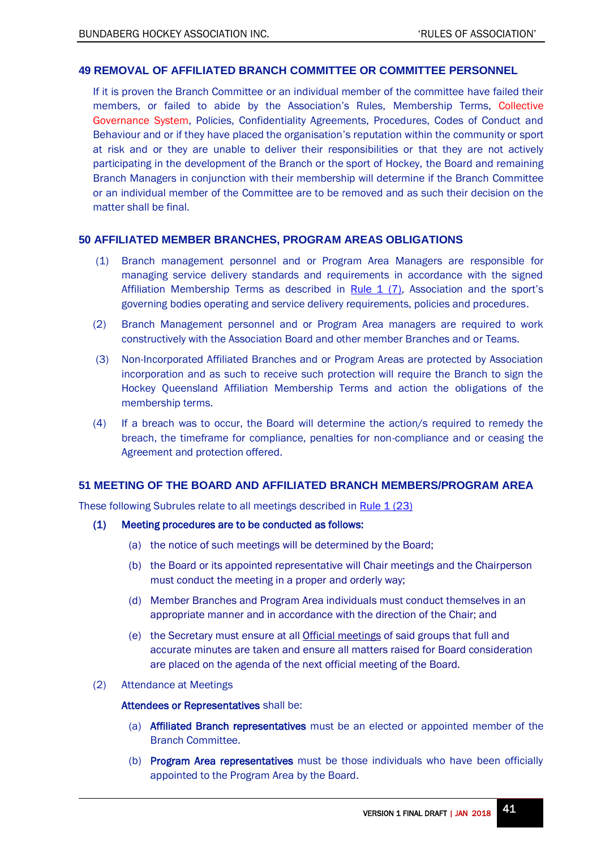## <span id="page-40-0"></span>**49 REMOVAL OF AFFILIATED BRANCH COMMITTEE OR COMMITTEE PERSONNEL**

If it is proven the Branch Committee or an individual member of the committee have failed their members, or failed to abide by the Association's Rules, Membership Terms, Collective Governance System, Policies, Confidentiality Agreements, Procedures, Codes of Conduct and Behaviour and or if they have placed the organisation's reputation within the community or sport at risk and or they are unable to deliver their responsibilities or that they are not actively participating in the development of the Branch or the sport of Hockey, the Board and remaining Branch Managers in conjunction with their membership will determine if the Branch Committee or an individual member of the Committee are to be removed and as such their decision on the matter shall be final.

# <span id="page-40-1"></span>**50 AFFILIATED MEMBER BRANCHES, PROGRAM AREAS OBLIGATIONS**

- (1) Branch management personnel and or Program Area Managers are responsible for managing service delivery standards and requirements in accordance with the signed Affiliation Membership Terms as described in Rule  $1$  (7), Association and the sport's governing bodies operating and service delivery requirements, policies and procedures.
- (2) Branch Management personnel and or Program Area managers are required to work constructively with the Association Board and other member Branches and or Teams.
- (3) Non-Incorporated Affiliated Branches and or Program Areas are protected by Association incorporation and as such to receive such protection will require the Branch to sign the Hockey Queensland Affiliation Membership Terms and action the obligations of the membership terms.
- (4) If a breach was to occur, the Board will determine the action/s required to remedy the breach, the timeframe for compliance, penalties for non-compliance and or ceasing the Agreement and protection offered.

## <span id="page-40-2"></span>**51 MEETING OF THE BOARD AND AFFILIATED BRANCH MEMBERS/PROGRAM AREA**

These following Subrules relate to all meetings described in [Rule 1 \(23\)](#page-5-5)

## <span id="page-40-3"></span>(1) Meeting procedures are to be conducted as follows:

- (a) the notice of such meetings will be determined by the Board;
- (b) the Board or its appointed representative will Chair meetings and the Chairperson must conduct the meeting in a proper and orderly way;
- (d) Member Branches and Program Area individuals must conduct themselves in an appropriate manner and in accordance with the direction of the Chair; and
- (e) the Secretary must ensure at all Official meetings of said groups that full and accurate minutes are taken and ensure all matters raised for Board consideration are placed on the agenda of the next official meeting of the Board.
- (2) Attendance at Meetings

#### Attendees or Representatives shall be:

- (a) Affiliated Branch representatives must be an elected or appointed member of the Branch Committee.
- (b) Program Area representatives must be those individuals who have been officially appointed to the Program Area by the Board.